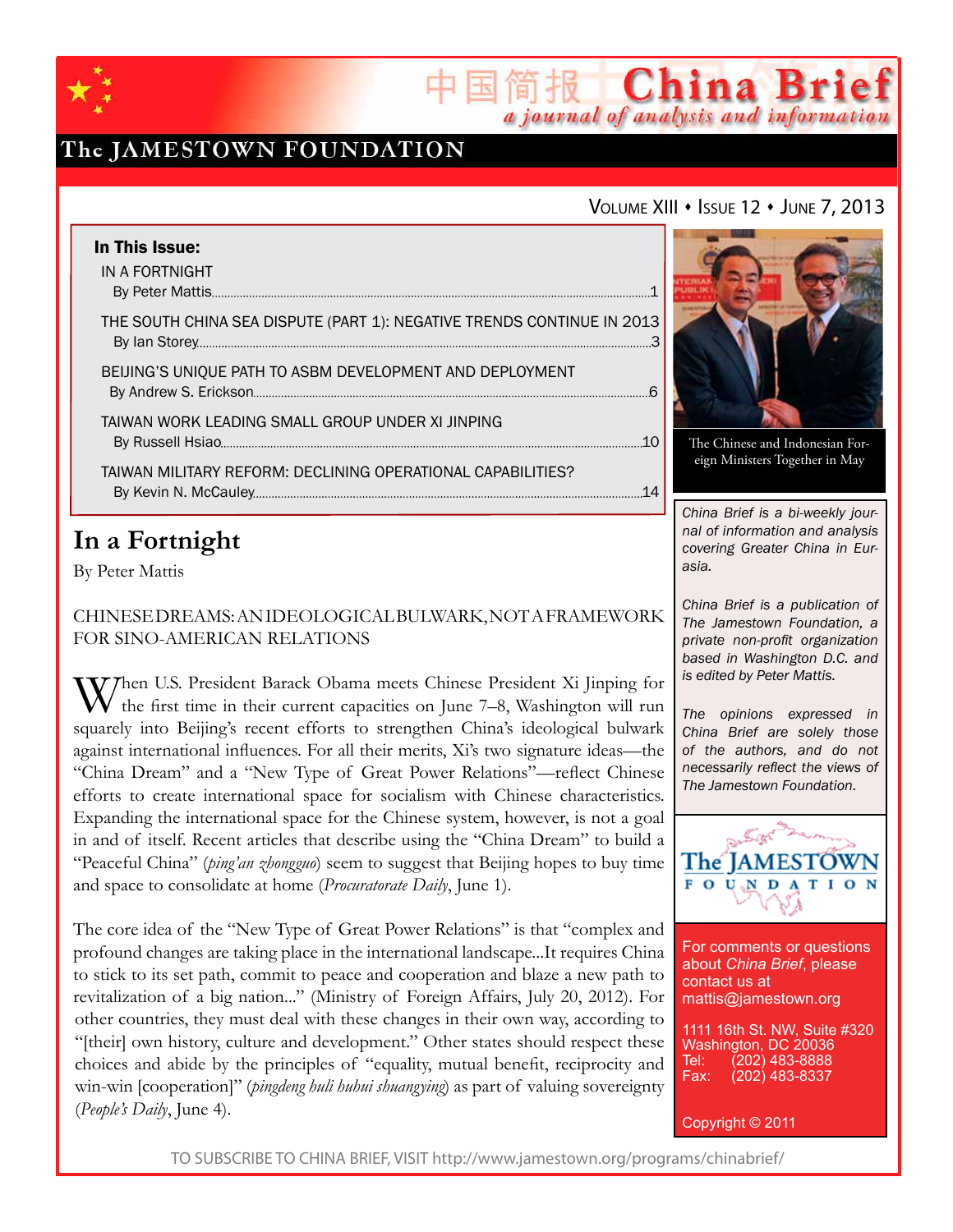

## The JAMESTOWN FOUNDATION

### VOLUME XIII · ISSUE 12 · JUNE 7, 2013

简报 China Brief

a journal of analysis and information

| In This Issue:                                                         |  |
|------------------------------------------------------------------------|--|
| IN A FORTNIGHT                                                         |  |
| THE SOUTH CHINA SEA DISPUTE (PART 1): NEGATIVE TRENDS CONTINUE IN 2013 |  |
| BEIJING'S UNIQUE PATH TO ASBM DEVELOPMENT AND DEPLOYMENT               |  |
| TAIWAN WORK LEADING SMALL GROUP UNDER XI JINPING                       |  |
| TAIWAN MILITARY REFORM: DECLINING OPERATIONAL CAPABILITIES?            |  |

## **In a Fortnight**

By Peter Mattis

Chinese Dreams: An Ideological Bulwark, Not a Framework for Sino-American Relations

V7hen U.S. President Barack Obama meets Chinese President Xi Jinping for the first time in their current capacities on June 7–8, Washington will run squarely into Beijing's recent efforts to strengthen China's ideological bulwark against international influences. For all their merits, Xi's two signature ideas—the "China Dream" and a "New Type of Great Power Relations"—reflect Chinese efforts to create international space for socialism with Chinese characteristics. Expanding the international space for the Chinese system, however, is not a goal in and of itself. Recent articles that describe using the "China Dream" to build a "Peaceful China" (*ping'an zhongguo*) seem to suggest that Beijing hopes to buy time and space to consolidate at home (*Procuratorate Daily*, June 1).

The core idea of the "New Type of Great Power Relations" is that "complex and profound changes are taking place in the international landscape...It requires China to stick to its set path, commit to peace and cooperation and blaze a new path to revitalization of a big nation..." (Ministry of Foreign Affairs, July 20, 2012). For other countries, they must deal with these changes in their own way, according to "[their] own history, culture and development." Other states should respect these choices and abide by the principles of "equality, mutual benefit, reciprocity and win-win [cooperation]" (*pingdeng huli huhui shuangying*) as part of valuing sovereignty (*People's Daily*, June 4).



The Chinese and Indonesian Foreign Ministers Together in May

*China Brief is a bi-weekly journal of information and analysis covering Greater China in Eurasia.* 

*China Brief is a publication of The Jamestown Foundation, a private non-profit organization based in Washington D.C. and is edited by Peter Mattis.*

*The opinions expressed in China Brief are solely those of the authors, and do not necessarily reflect the views of The Jamestown Foundation.*



For comments or questions about *China Brief*, please contact us at mattis@jamestown.org

1111 16th St. NW, Suite #320 Washington, DC 20036<br>Tel: (202) 483-8888 Tel: (202) 483-8888<br>Fax: (202) 483-8337 (202) 483-8337

Copyright © 2011

TO SUBSCRIBE TO CHINA BRIEF, VISIT http://www.jamestown.org/programs/chinabrief/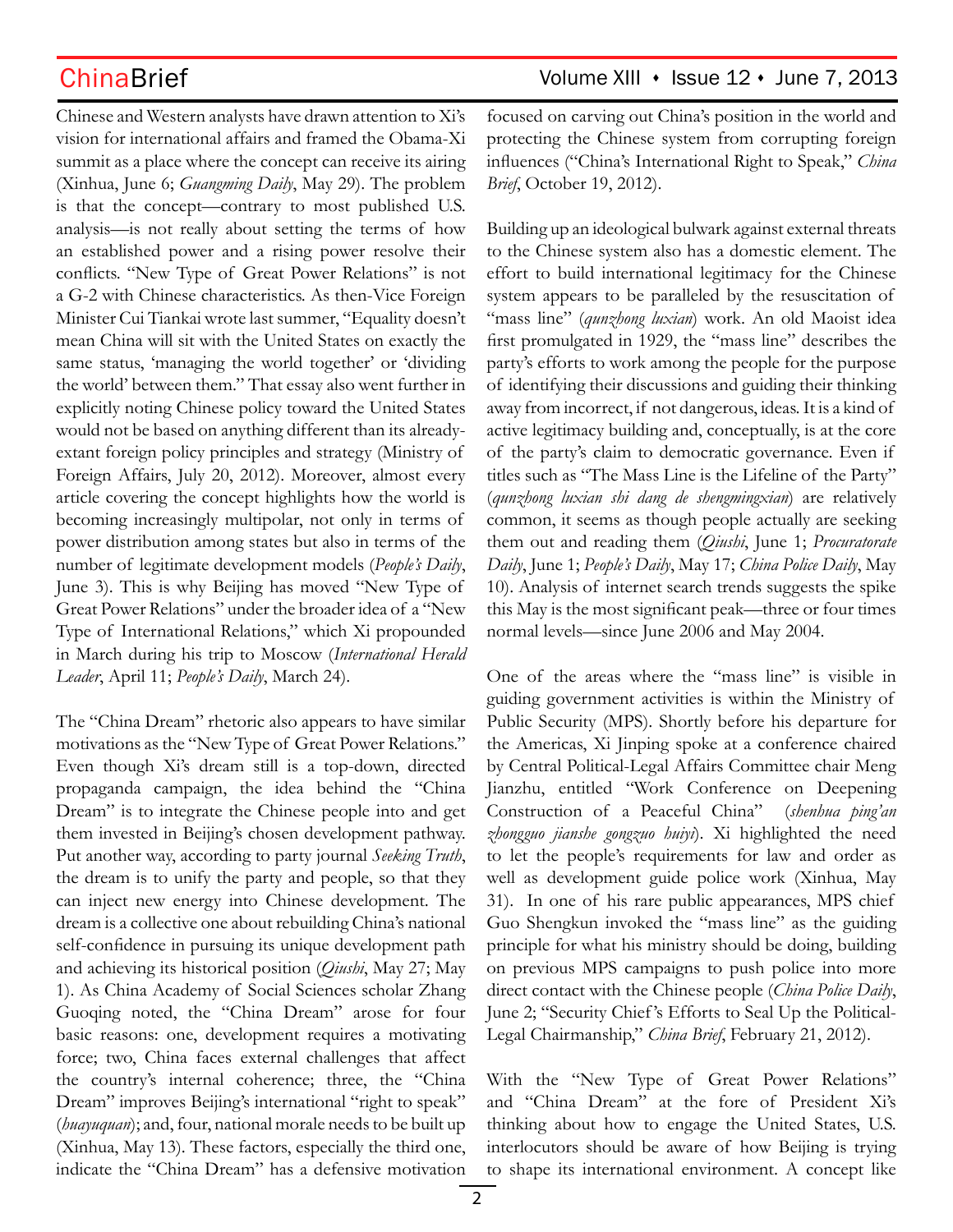Chinese and Western analysts have drawn attention to Xi's vision for international affairs and framed the Obama-Xi summit as a place where the concept can receive its airing (Xinhua, June 6; *Guangming Daily*, May 29). The problem is that the concept—contrary to most published U.S. analysis—is not really about setting the terms of how an established power and a rising power resolve their conflicts. "New Type of Great Power Relations" is not a G-2 with Chinese characteristics. As then-Vice Foreign Minister Cui Tiankai wrote last summer, "Equality doesn't mean China will sit with the United States on exactly the same status, 'managing the world together' or 'dividing the world' between them." That essay also went further in explicitly noting Chinese policy toward the United States would not be based on anything different than its alreadyextant foreign policy principles and strategy (Ministry of Foreign Affairs, July 20, 2012). Moreover, almost every article covering the concept highlights how the world is becoming increasingly multipolar, not only in terms of power distribution among states but also in terms of the number of legitimate development models (*People's Daily*, June 3). This is why Beijing has moved "New Type of Great Power Relations" under the broader idea of a "New Type of International Relations," which Xi propounded in March during his trip to Moscow (*International Herald Leader*, April 11; *People's Daily*, March 24).

The "China Dream" rhetoric also appears to have similar motivations as the "New Type of Great Power Relations." Even though Xi's dream still is a top-down, directed propaganda campaign, the idea behind the "China Dream" is to integrate the Chinese people into and get them invested in Beijing's chosen development pathway. Put another way, according to party journal *Seeking Truth*, the dream is to unify the party and people, so that they can inject new energy into Chinese development. The dream is a collective one about rebuilding China's national self-confidence in pursuing its unique development path and achieving its historical position (*Qiushi*, May 27; May 1). As China Academy of Social Sciences scholar Zhang Guoqing noted, the "China Dream" arose for four basic reasons: one, development requires a motivating force; two, China faces external challenges that affect the country's internal coherence; three, the "China Dream" improves Beijing's international "right to speak" (*huayuquan*); and, four, national morale needs to be built up (Xinhua, May 13). These factors, especially the third one, indicate the "China Dream" has a defensive motivation focused on carving out China's position in the world and protecting the Chinese system from corrupting foreign influences ("China's International Right to Speak," *China Brief*, October 19, 2012).

Building up an ideological bulwark against external threats to the Chinese system also has a domestic element. The effort to build international legitimacy for the Chinese system appears to be paralleled by the resuscitation of "mass line" (*qunzhong luxian*) work. An old Maoist idea first promulgated in 1929, the "mass line" describes the party's efforts to work among the people for the purpose of identifying their discussions and guiding their thinking away from incorrect, if not dangerous, ideas. It is a kind of active legitimacy building and, conceptually, is at the core of the party's claim to democratic governance. Even if titles such as "The Mass Line is the Lifeline of the Party" (*qunzhong luxian shi dang de shengmingxian*) are relatively common, it seems as though people actually are seeking them out and reading them (*Qiushi*, June 1; *Procuratorate Daily*, June 1; *People's Daily*, May 17; *China Police Daily*, May 10). Analysis of internet search trends suggests the spike this May is the most significant peak—three or four times normal levels—since June 2006 and May 2004.

One of the areas where the "mass line" is visible in guiding government activities is within the Ministry of Public Security (MPS). Shortly before his departure for the Americas, Xi Jinping spoke at a conference chaired by Central Political-Legal Affairs Committee chair Meng Jianzhu, entitled "Work Conference on Deepening Construction of a Peaceful China" (*shenhua ping'an zhongguo jianshe gongzuo huiyi*). Xi highlighted the need to let the people's requirements for law and order as well as development guide police work (Xinhua, May 31). In one of his rare public appearances, MPS chief Guo Shengkun invoked the "mass line" as the guiding principle for what his ministry should be doing, building on previous MPS campaigns to push police into more direct contact with the Chinese people (*China Police Daily*, June 2; "Security Chief 's Efforts to Seal Up the Political-Legal Chairmanship," *China Brief*, February 21, 2012).

With the "New Type of Great Power Relations" and "China Dream" at the fore of President Xi's thinking about how to engage the United States, U.S. interlocutors should be aware of how Beijing is trying to shape its international environment. A concept like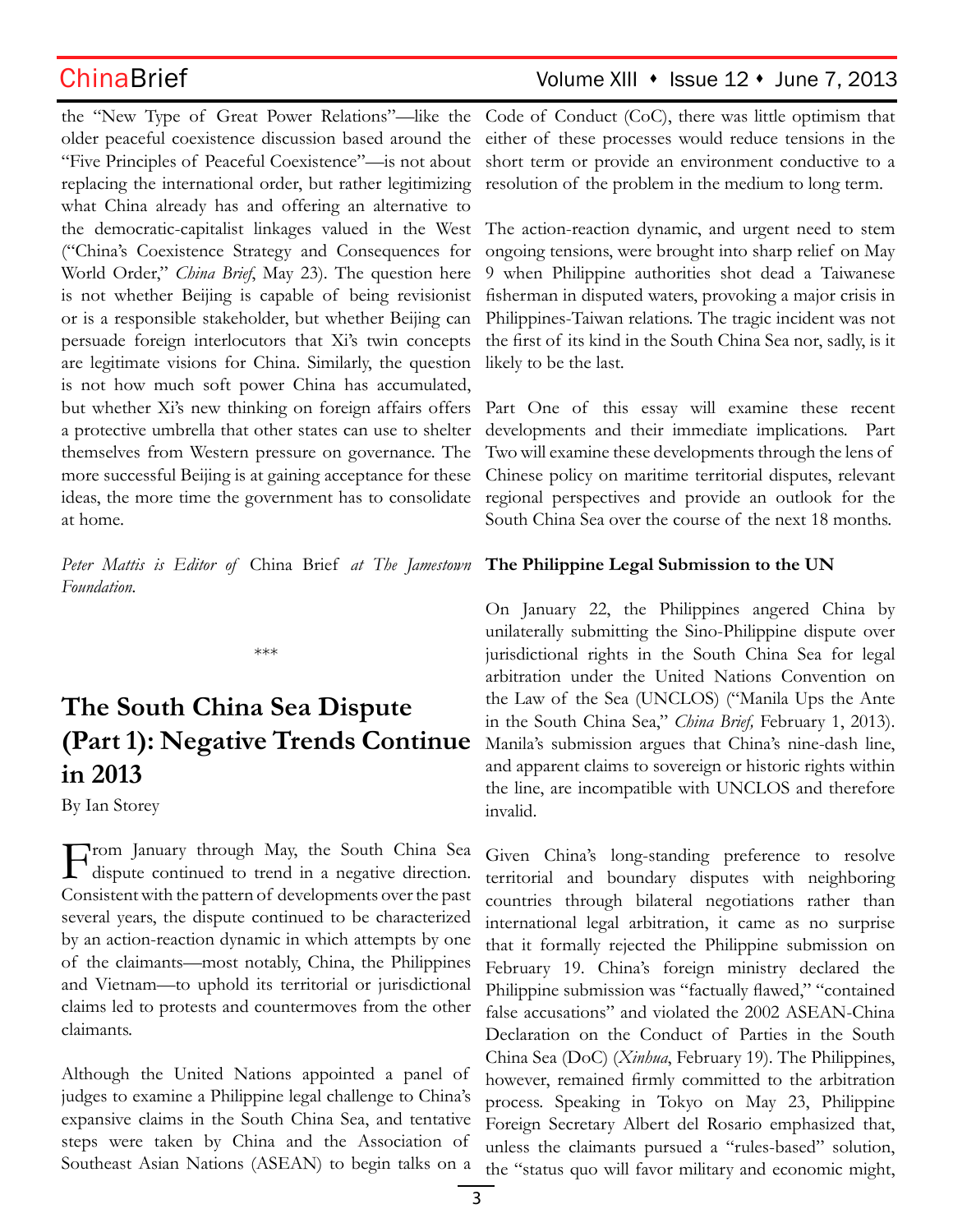the "New Type of Great Power Relations"—like the older peaceful coexistence discussion based around the "Five Principles of Peaceful Coexistence"—is not about replacing the international order, but rather legitimizing what China already has and offering an alternative to the democratic-capitalist linkages valued in the West ("China's Coexistence Strategy and Consequences for World Order," *China Brief*, May 23). The question here is not whether Beijing is capable of being revisionist or is a responsible stakeholder, but whether Beijing can persuade foreign interlocutors that Xi's twin concepts are legitimate visions for China. Similarly, the question is not how much soft power China has accumulated, but whether Xi's new thinking on foreign affairs offers a protective umbrella that other states can use to shelter themselves from Western pressure on governance. The more successful Beijing is at gaining acceptance for these ideas, the more time the government has to consolidate at home.

*Peter Mattis is Editor of* China Brief *at The Jamestown*  **The Philippine Legal Submission to the UN** *Foundation.*

\*\*\*

# **The South China Sea Dispute (Part 1): Negative Trends Continue in 2013**

By Ian Storey

From January through May, the South China Sea dispute continued to trend in a negative direction. Consistent with the pattern of developments over the past several years, the dispute continued to be characterized by an action-reaction dynamic in which attempts by one of the claimants—most notably, China, the Philippines and Vietnam—to uphold its territorial or jurisdictional claims led to protests and countermoves from the other claimants.

Although the United Nations appointed a panel of judges to examine a Philippine legal challenge to China's expansive claims in the South China Sea, and tentative steps were taken by China and the Association of Southeast Asian Nations (ASEAN) to begin talks on a

## ChinaBrief Volume XIII • Issue 12 • June 7, 2013

Code of Conduct (CoC), there was little optimism that either of these processes would reduce tensions in the short term or provide an environment conductive to a resolution of the problem in the medium to long term.

The action-reaction dynamic, and urgent need to stem ongoing tensions, were brought into sharp relief on May 9 when Philippine authorities shot dead a Taiwanese fisherman in disputed waters, provoking a major crisis in Philippines-Taiwan relations. The tragic incident was not the first of its kind in the South China Sea nor, sadly, is it likely to be the last.

Part One of this essay will examine these recent developments and their immediate implications. Part Two will examine these developments through the lens of Chinese policy on maritime territorial disputes, relevant regional perspectives and provide an outlook for the South China Sea over the course of the next 18 months.

On January 22, the Philippines angered China by unilaterally submitting the Sino-Philippine dispute over jurisdictional rights in the South China Sea for legal arbitration under the United Nations Convention on the Law of the Sea (UNCLOS) ("Manila Ups the Ante in the South China Sea," *China Brief,* February 1, 2013). Manila's submission argues that China's nine-dash line, and apparent claims to sovereign or historic rights within the line, are incompatible with UNCLOS and therefore invalid.

Given China's long-standing preference to resolve territorial and boundary disputes with neighboring countries through bilateral negotiations rather than international legal arbitration, it came as no surprise that it formally rejected the Philippine submission on February 19. China's foreign ministry declared the Philippine submission was "factually flawed," "contained false accusations" and violated the 2002 ASEAN-China Declaration on the Conduct of Parties in the South China Sea (DoC) (*Xinhua*, February 19). The Philippines, however, remained firmly committed to the arbitration process. Speaking in Tokyo on May 23, Philippine Foreign Secretary Albert del Rosario emphasized that, unless the claimants pursued a "rules-based" solution, the "status quo will favor military and economic might,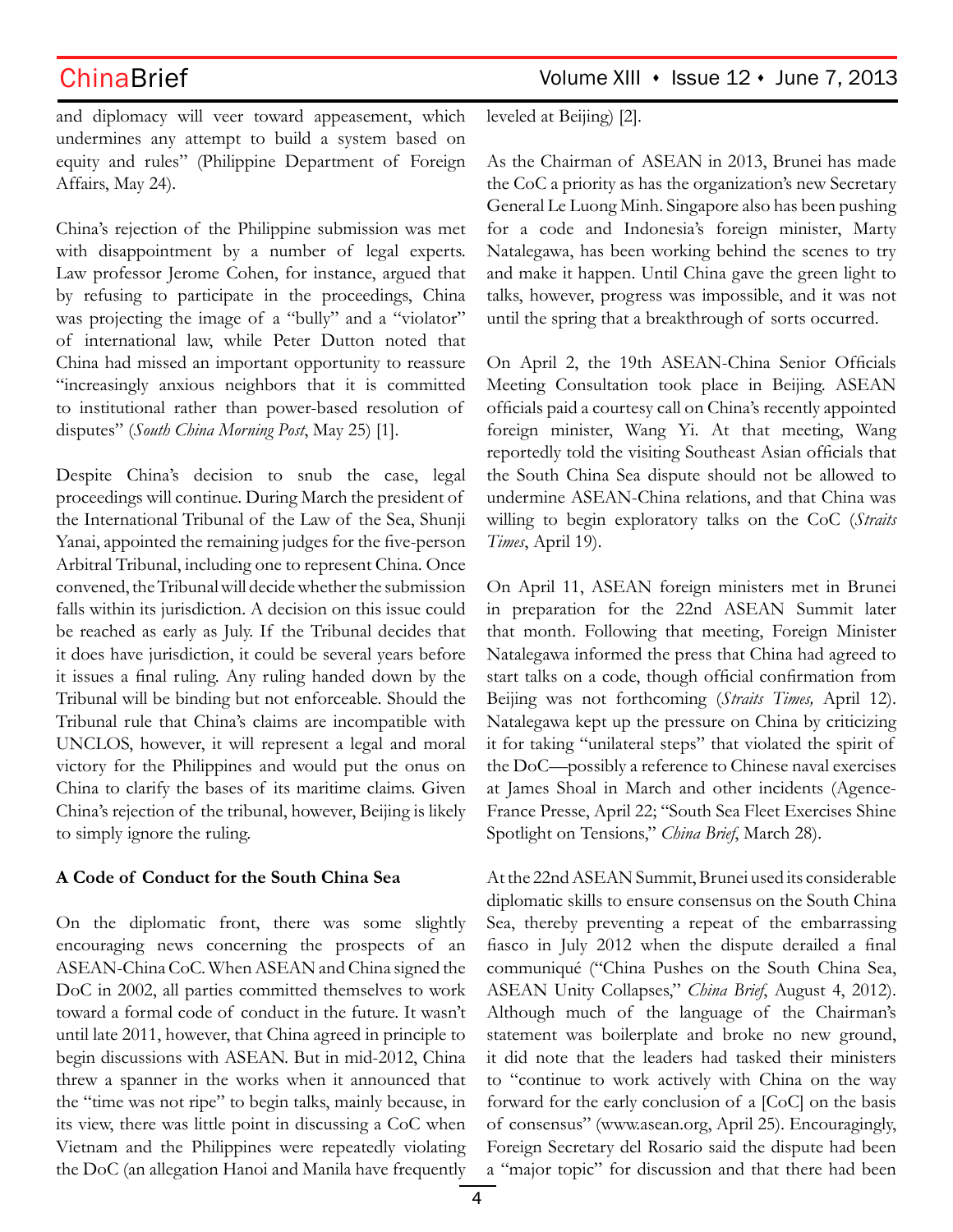and diplomacy will veer toward appeasement, which undermines any attempt to build a system based on equity and rules" (Philippine Department of Foreign Affairs, May 24).

China's rejection of the Philippine submission was met with disappointment by a number of legal experts. Law professor Jerome Cohen, for instance, argued that by refusing to participate in the proceedings, China was projecting the image of a "bully" and a "violator" of international law, while Peter Dutton noted that China had missed an important opportunity to reassure "increasingly anxious neighbors that it is committed to institutional rather than power-based resolution of disputes" (*South China Morning Post*, May 25) [1].

Despite China's decision to snub the case, legal proceedings will continue. During March the president of the International Tribunal of the Law of the Sea, Shunji Yanai, appointed the remaining judges for the five-person Arbitral Tribunal, including one to represent China. Once convened, the Tribunal will decide whether the submission falls within its jurisdiction. A decision on this issue could be reached as early as July. If the Tribunal decides that it does have jurisdiction, it could be several years before it issues a final ruling. Any ruling handed down by the Tribunal will be binding but not enforceable. Should the Tribunal rule that China's claims are incompatible with UNCLOS, however, it will represent a legal and moral victory for the Philippines and would put the onus on China to clarify the bases of its maritime claims. Given China's rejection of the tribunal, however, Beijing is likely to simply ignore the ruling.

### **A Code of Conduct for the South China Sea**

On the diplomatic front, there was some slightly encouraging news concerning the prospects of an ASEAN-China CoC. When ASEAN and China signed the DoC in 2002, all parties committed themselves to work toward a formal code of conduct in the future. It wasn't until late 2011, however, that China agreed in principle to begin discussions with ASEAN. But in mid-2012, China threw a spanner in the works when it announced that the "time was not ripe" to begin talks, mainly because, in its view, there was little point in discussing a CoC when Vietnam and the Philippines were repeatedly violating the DoC (an allegation Hanoi and Manila have frequently

leveled at Beijing) [2].

As the Chairman of ASEAN in 2013, Brunei has made the CoC a priority as has the organization's new Secretary General Le Luong Minh. Singapore also has been pushing for a code and Indonesia's foreign minister, Marty Natalegawa, has been working behind the scenes to try and make it happen. Until China gave the green light to talks, however, progress was impossible, and it was not until the spring that a breakthrough of sorts occurred.

On April 2, the 19th ASEAN-China Senior Officials Meeting Consultation took place in Beijing. ASEAN officials paid a courtesy call on China's recently appointed foreign minister, Wang Yi. At that meeting, Wang reportedly told the visiting Southeast Asian officials that the South China Sea dispute should not be allowed to undermine ASEAN-China relations, and that China was willing to begin exploratory talks on the CoC (*Straits Times*, April 19).

On April 11, ASEAN foreign ministers met in Brunei in preparation for the 22nd ASEAN Summit later that month. Following that meeting, Foreign Minister Natalegawa informed the press that China had agreed to start talks on a code, though official confirmation from Beijing was not forthcoming (*Straits Times,* April 12). Natalegawa kept up the pressure on China by criticizing it for taking "unilateral steps" that violated the spirit of the DoC—possibly a reference to Chinese naval exercises at James Shoal in March and other incidents (Agence-France Presse, April 22; "South Sea Fleet Exercises Shine Spotlight on Tensions," *China Brief*, March 28).

At the 22nd ASEAN Summit, Brunei used its considerable diplomatic skills to ensure consensus on the South China Sea, thereby preventing a repeat of the embarrassing fiasco in July 2012 when the dispute derailed a final communiqué ("China Pushes on the South China Sea, ASEAN Unity Collapses," *China Brief*, August 4, 2012). Although much of the language of the Chairman's statement was boilerplate and broke no new ground, it did note that the leaders had tasked their ministers to "continue to work actively with China on the way forward for the early conclusion of a [CoC] on the basis of consensus" (www.asean.org, April 25). Encouragingly, Foreign Secretary del Rosario said the dispute had been a "major topic" for discussion and that there had been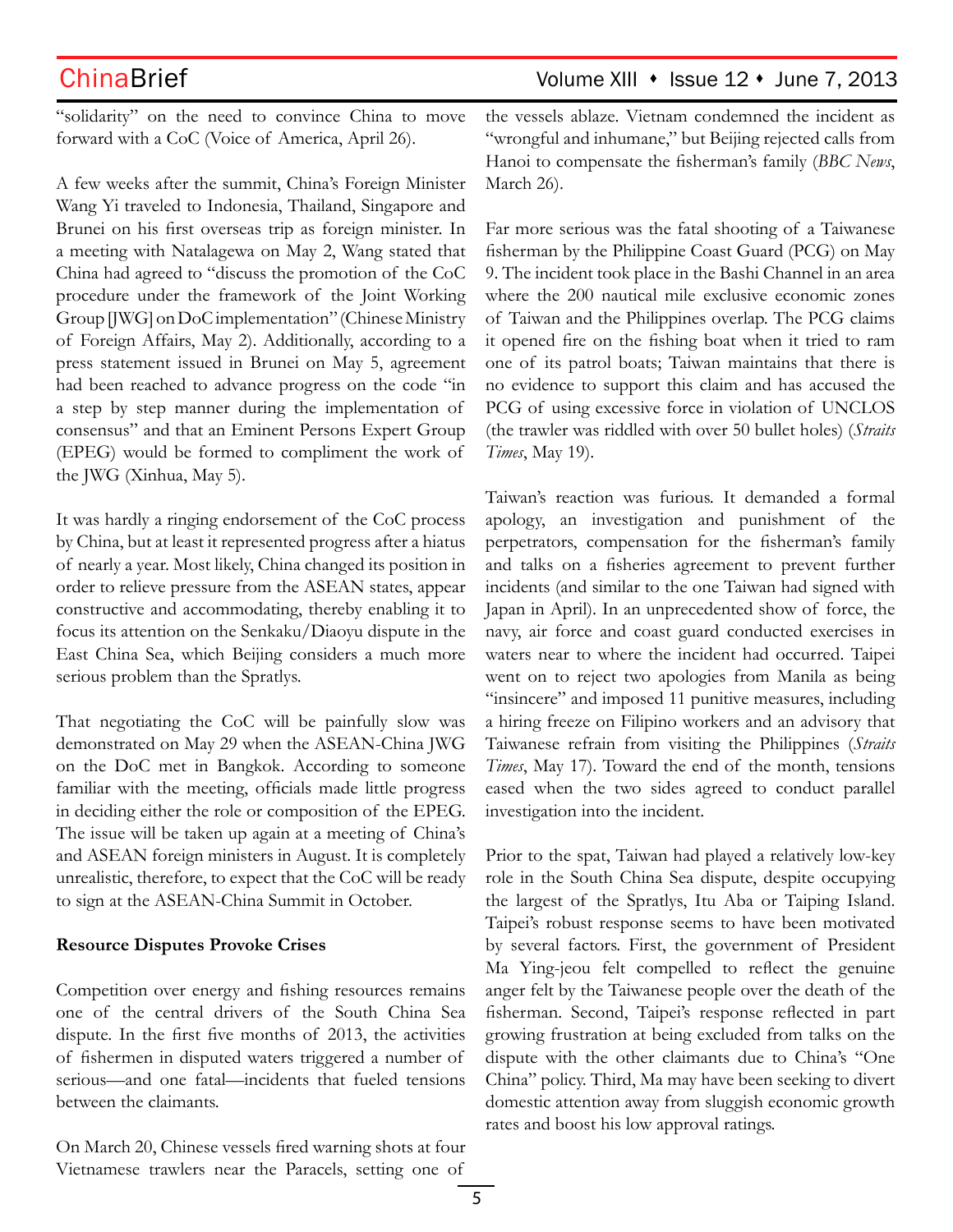## ChinaBrief ChinaBrief Volume XIII • Issue 12 • June 7, 2013

"solidarity" on the need to convince China to move forward with a CoC (Voice of America, April 26).

A few weeks after the summit, China's Foreign Minister Wang Yi traveled to Indonesia, Thailand, Singapore and Brunei on his first overseas trip as foreign minister. In a meeting with Natalagewa on May 2, Wang stated that China had agreed to "discuss the promotion of the CoC procedure under the framework of the Joint Working Group [JWG] on DoC implementation" (Chinese Ministry of Foreign Affairs, May 2). Additionally, according to a press statement issued in Brunei on May 5, agreement had been reached to advance progress on the code "in a step by step manner during the implementation of consensus" and that an Eminent Persons Expert Group (EPEG) would be formed to compliment the work of the JWG (Xinhua, May 5).

It was hardly a ringing endorsement of the CoC process by China, but at least it represented progress after a hiatus of nearly a year. Most likely, China changed its position in order to relieve pressure from the ASEAN states, appear constructive and accommodating, thereby enabling it to focus its attention on the Senkaku/Diaoyu dispute in the East China Sea, which Beijing considers a much more serious problem than the Spratlys.

That negotiating the CoC will be painfully slow was demonstrated on May 29 when the ASEAN-China JWG on the DoC met in Bangkok. According to someone familiar with the meeting, officials made little progress in deciding either the role or composition of the EPEG. The issue will be taken up again at a meeting of China's and ASEAN foreign ministers in August. It is completely unrealistic, therefore, to expect that the CoC will be ready to sign at the ASEAN-China Summit in October.

### **Resource Disputes Provoke Crises**

Competition over energy and fishing resources remains one of the central drivers of the South China Sea dispute. In the first five months of 2013, the activities of fishermen in disputed waters triggered a number of serious—and one fatal—incidents that fueled tensions between the claimants.

On March 20, Chinese vessels fired warning shots at four Vietnamese trawlers near the Paracels, setting one of

the vessels ablaze. Vietnam condemned the incident as "wrongful and inhumane," but Beijing rejected calls from Hanoi to compensate the fisherman's family (*BBC News*, March 26).

Far more serious was the fatal shooting of a Taiwanese fisherman by the Philippine Coast Guard (PCG) on May 9. The incident took place in the Bashi Channel in an area where the 200 nautical mile exclusive economic zones of Taiwan and the Philippines overlap. The PCG claims it opened fire on the fishing boat when it tried to ram one of its patrol boats; Taiwan maintains that there is no evidence to support this claim and has accused the PCG of using excessive force in violation of UNCLOS (the trawler was riddled with over 50 bullet holes) (*Straits Times*, May 19).

Taiwan's reaction was furious. It demanded a formal apology, an investigation and punishment of the perpetrators, compensation for the fisherman's family and talks on a fisheries agreement to prevent further incidents (and similar to the one Taiwan had signed with Japan in April). In an unprecedented show of force, the navy, air force and coast guard conducted exercises in waters near to where the incident had occurred. Taipei went on to reject two apologies from Manila as being "insincere" and imposed 11 punitive measures, including a hiring freeze on Filipino workers and an advisory that Taiwanese refrain from visiting the Philippines (*Straits Times*, May 17). Toward the end of the month, tensions eased when the two sides agreed to conduct parallel investigation into the incident.

Prior to the spat, Taiwan had played a relatively low-key role in the South China Sea dispute, despite occupying the largest of the Spratlys, Itu Aba or Taiping Island. Taipei's robust response seems to have been motivated by several factors. First, the government of President Ma Ying-jeou felt compelled to reflect the genuine anger felt by the Taiwanese people over the death of the fisherman. Second, Taipei's response reflected in part growing frustration at being excluded from talks on the dispute with the other claimants due to China's "One China" policy. Third, Ma may have been seeking to divert domestic attention away from sluggish economic growth rates and boost his low approval ratings.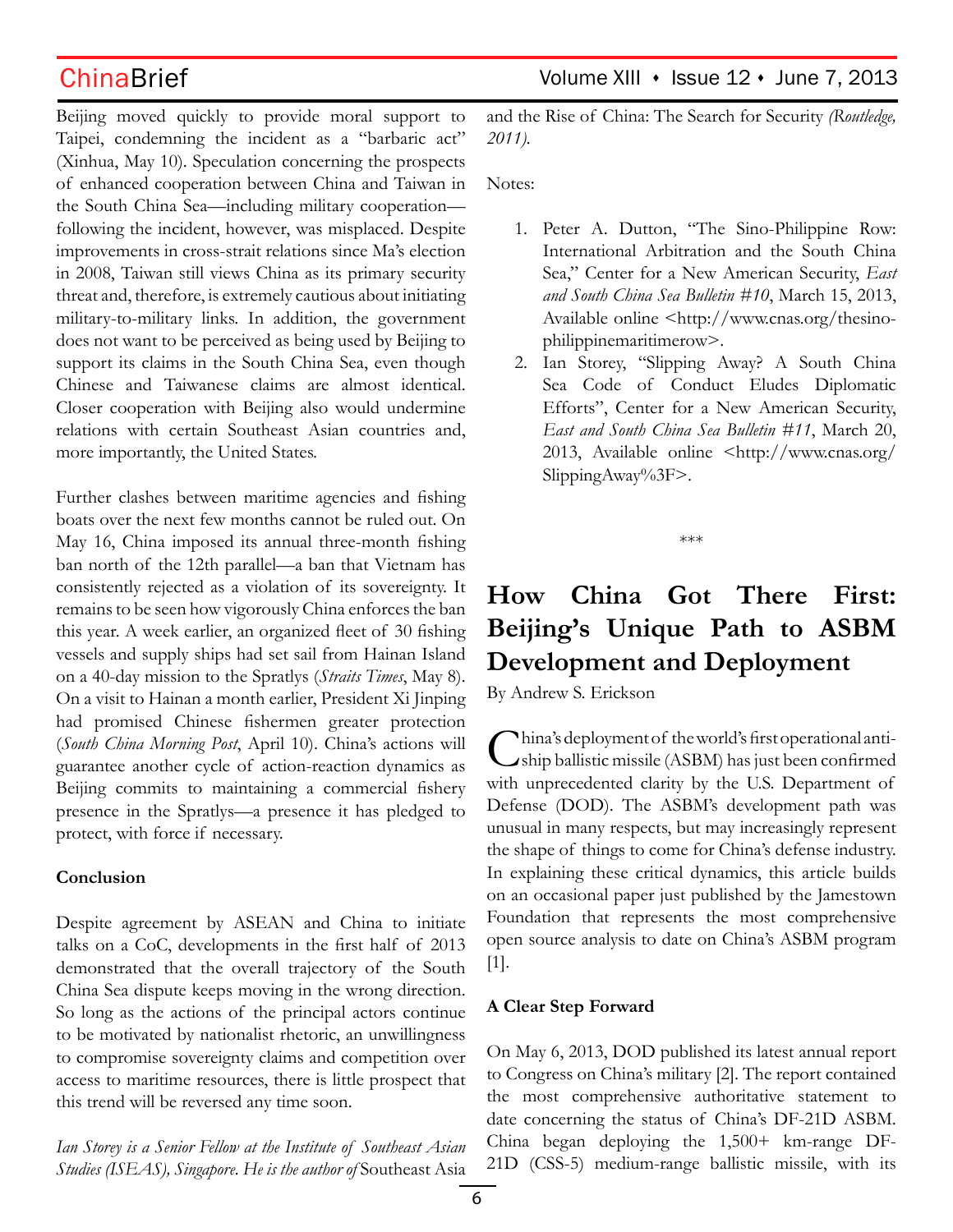Beijing moved quickly to provide moral support to Taipei, condemning the incident as a "barbaric act" (Xinhua, May 10). Speculation concerning the prospects of enhanced cooperation between China and Taiwan in the South China Sea—including military cooperation following the incident, however, was misplaced. Despite improvements in cross-strait relations since Ma's election in 2008, Taiwan still views China as its primary security threat and, therefore, is extremely cautious about initiating military-to-military links. In addition, the government does not want to be perceived as being used by Beijing to support its claims in the South China Sea, even though Chinese and Taiwanese claims are almost identical. Closer cooperation with Beijing also would undermine relations with certain Southeast Asian countries and, more importantly, the United States.

Further clashes between maritime agencies and fishing boats over the next few months cannot be ruled out. On May 16, China imposed its annual three-month fishing ban north of the 12th parallel—a ban that Vietnam has consistently rejected as a violation of its sovereignty. It remains to be seen how vigorously China enforces the ban this year. A week earlier, an organized fleet of 30 fishing vessels and supply ships had set sail from Hainan Island on a 40-day mission to the Spratlys (*Straits Times*, May 8). On a visit to Hainan a month earlier, President Xi Jinping had promised Chinese fishermen greater protection (*South China Morning Post*, April 10). China's actions will guarantee another cycle of action-reaction dynamics as Beijing commits to maintaining a commercial fishery presence in the Spratlys—a presence it has pledged to protect, with force if necessary.

## **Conclusion**

Despite agreement by ASEAN and China to initiate talks on a CoC, developments in the first half of 2013 demonstrated that the overall trajectory of the South China Sea dispute keeps moving in the wrong direction. So long as the actions of the principal actors continue to be motivated by nationalist rhetoric, an unwillingness to compromise sovereignty claims and competition over access to maritime resources, there is little prospect that this trend will be reversed any time soon.

*Ian Storey is a Senior Fellow at the Institute of Southeast Asian Studies (ISEAS), Singapore. He is the author of* Southeast Asia

ChinaBrief Volume XIII · Issue 12 · June 7, 2013

and the Rise of China: The Search for Security *(Routledge, 2011).*

Notes:

- 1. Peter A. Dutton, "The Sino-Philippine Row: International Arbitration and the South China Sea," Center for a New American Security, *East and South China Sea Bulletin #10*, March 15, 2013, Available online <http://www.cnas.org/thesinophilippinemaritimerow>.
- 2. Ian Storey, "Slipping Away? A South China Sea Code of Conduct Eludes Diplomatic Efforts", Center for a New American Security, *East and South China Sea Bulletin #11*, March 20, 2013, Available online <http://www.cnas.org/ SlippingAway%3F>.

\*\*\*

# **How China Got There First: Beijing's Unique Path to ASBM Development and Deployment**

By Andrew S. Erickson

China's deployment of the world's first operational antiship ballistic missile (ASBM) has just been confirmed with unprecedented clarity by the U.S. Department of Defense (DOD). The ASBM's development path was unusual in many respects, but may increasingly represent the shape of things to come for China's defense industry. In explaining these critical dynamics, this article builds on an occasional paper just published by the Jamestown Foundation that represents the most comprehensive open source analysis to date on China's ASBM program [1].

## **A Clear Step Forward**

On May 6, 2013, DOD published its latest annual report to Congress on China's military [2]. The report contained the most comprehensive authoritative statement to date concerning the status of China's DF-21D ASBM. China began deploying the 1,500+ km-range DF-21D (CSS-5) medium-range ballistic missile, with its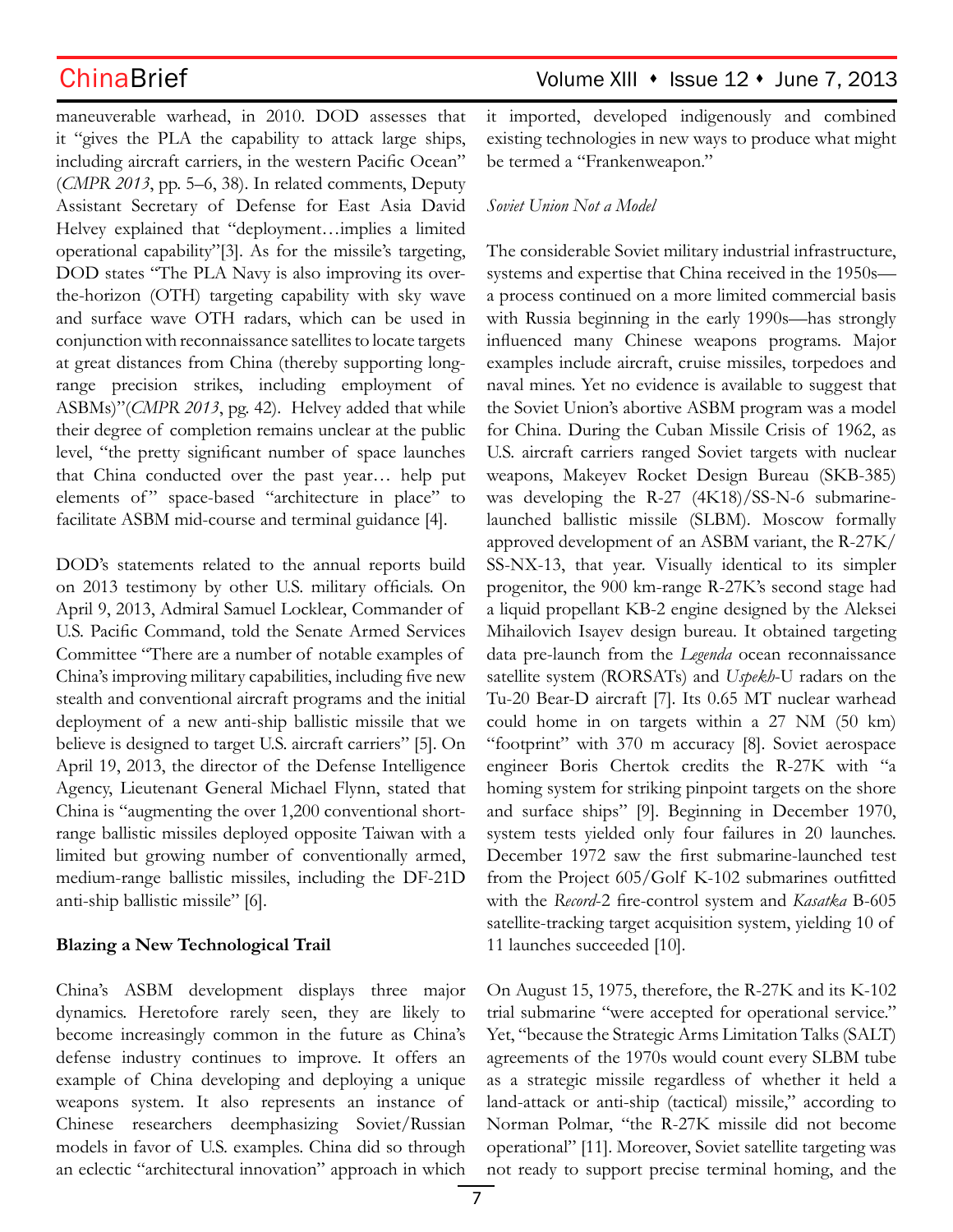maneuverable warhead, in 2010. DOD assesses that it "gives the PLA the capability to attack large ships, including aircraft carriers, in the western Pacific Ocean" (*CMPR 2013*, pp. 5–6, 38). In related comments, Deputy Assistant Secretary of Defense for East Asia David Helvey explained that "deployment…implies a limited operational capability"[3]. As for the missile's targeting, DOD states "The PLA Navy is also improving its overthe-horizon (OTH) targeting capability with sky wave and surface wave OTH radars, which can be used in conjunction with reconnaissance satellites to locate targets at great distances from China (thereby supporting longrange precision strikes, including employment of ASBMs)"(*CMPR 2013*, pg. 42). Helvey added that while their degree of completion remains unclear at the public level, "the pretty significant number of space launches that China conducted over the past year… help put elements of" space-based "architecture in place" to facilitate ASBM mid-course and terminal guidance [4].

DOD's statements related to the annual reports build on 2013 testimony by other U.S. military officials. On April 9, 2013, Admiral Samuel Locklear, Commander of U.S. Pacific Command, told the Senate Armed Services Committee "There are a number of notable examples of China's improving military capabilities, including five new stealth and conventional aircraft programs and the initial deployment of a new anti-ship ballistic missile that we believe is designed to target U.S. aircraft carriers" [5]. On April 19, 2013, the director of the Defense Intelligence Agency, Lieutenant General Michael Flynn, stated that China is "augmenting the over 1,200 conventional shortrange ballistic missiles deployed opposite Taiwan with a limited but growing number of conventionally armed, medium-range ballistic missiles, including the DF-21D anti-ship ballistic missile" [6].

## **Blazing a New Technological Trail**

China's ASBM development displays three major dynamics. Heretofore rarely seen, they are likely to become increasingly common in the future as China's defense industry continues to improve. It offers an example of China developing and deploying a unique weapons system. It also represents an instance of Chinese researchers deemphasizing Soviet/Russian models in favor of U.S. examples. China did so through an eclectic "architectural innovation" approach in which it imported, developed indigenously and combined existing technologies in new ways to produce what might be termed a "Frankenweapon."

## *Soviet Union Not a Model*

The considerable Soviet military industrial infrastructure, systems and expertise that China received in the 1950s a process continued on a more limited commercial basis with Russia beginning in the early 1990s—has strongly influenced many Chinese weapons programs. Major examples include aircraft, cruise missiles, torpedoes and naval mines. Yet no evidence is available to suggest that the Soviet Union's abortive ASBM program was a model for China. During the Cuban Missile Crisis of 1962, as U.S. aircraft carriers ranged Soviet targets with nuclear weapons, Makeyev Rocket Design Bureau (SKB-385) was developing the R-27 (4K18)/SS-N-6 submarinelaunched ballistic missile (SLBM). Moscow formally approved development of an ASBM variant, the R-27K/ SS-NX-13, that year. Visually identical to its simpler progenitor, the 900 km-range R-27K's second stage had a liquid propellant KB-2 engine designed by the Aleksei Mihailovich Isayev design bureau. It obtained targeting data pre-launch from the *Legenda* ocean reconnaissance satellite system (RORSATs) and *Uspekh*-U radars on the Tu-20 Bear-D aircraft [7]. Its 0.65 MT nuclear warhead could home in on targets within a 27 NM (50 km) "footprint" with 370 m accuracy [8]. Soviet aerospace engineer Boris Chertok credits the R-27K with "a homing system for striking pinpoint targets on the shore and surface ships" [9]. Beginning in December 1970, system tests yielded only four failures in 20 launches. December 1972 saw the first submarine-launched test from the Project 605/Golf K-102 submarines outfitted with the *Record*-2 fire-control system and *Kasatka* B-605 satellite-tracking target acquisition system, yielding 10 of 11 launches succeeded [10].

On August 15, 1975, therefore, the R-27K and its K-102 trial submarine "were accepted for operational service." Yet, "because the Strategic Arms Limitation Talks (SALT) agreements of the 1970s would count every SLBM tube as a strategic missile regardless of whether it held a land-attack or anti-ship (tactical) missile," according to Norman Polmar, "the R-27K missile did not become operational" [11]. Moreover, Soviet satellite targeting was not ready to support precise terminal homing, and the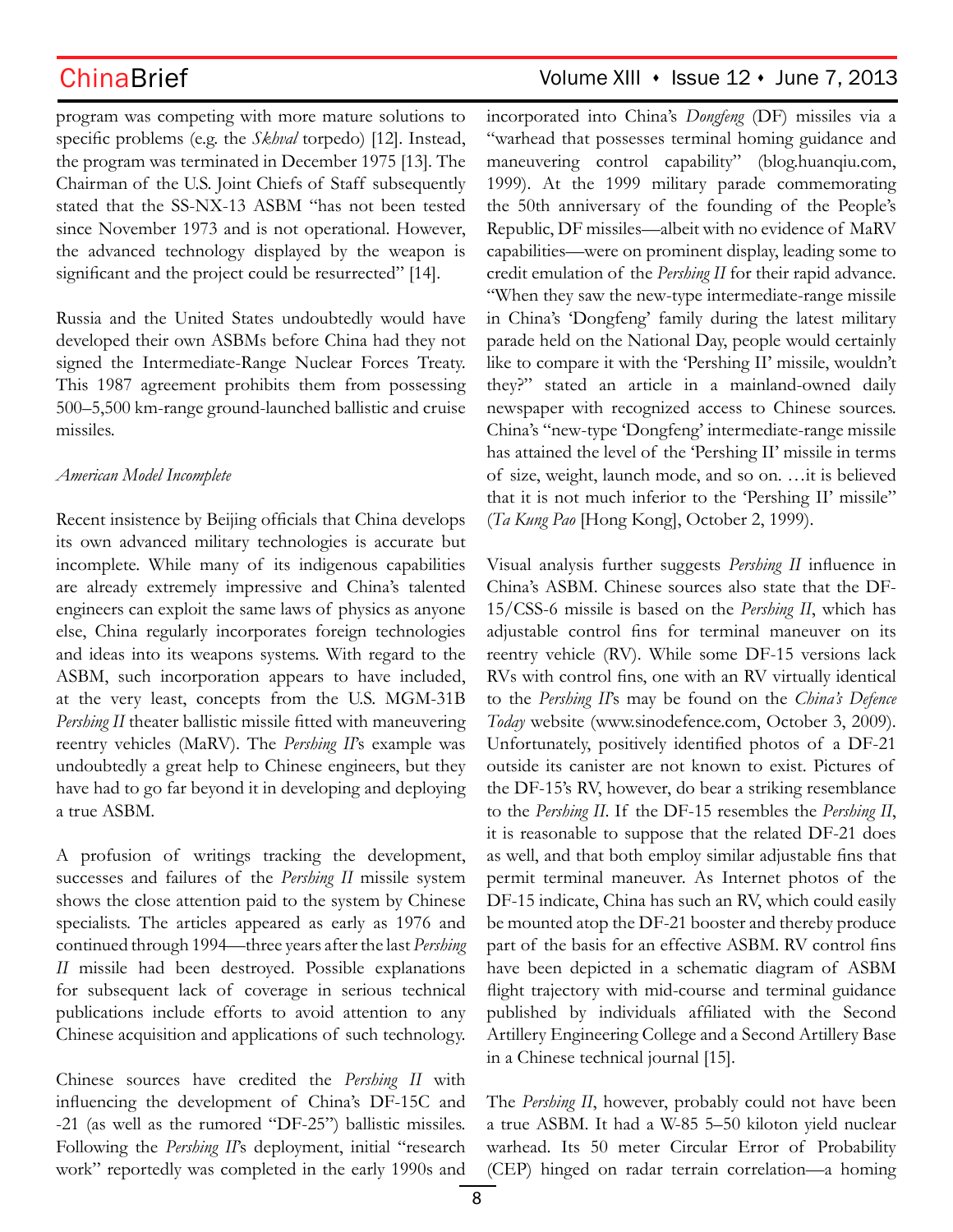program was competing with more mature solutions to specific problems (e.g. the *Skhval* torpedo) [12]. Instead, the program was terminated in December 1975 [13]. The Chairman of the U.S. Joint Chiefs of Staff subsequently stated that the SS-NX-13 ASBM "has not been tested since November 1973 and is not operational. However, the advanced technology displayed by the weapon is significant and the project could be resurrected" [14].

Russia and the United States undoubtedly would have developed their own ASBMs before China had they not signed the Intermediate-Range Nuclear Forces Treaty. This 1987 agreement prohibits them from possessing 500–5,500 km-range ground-launched ballistic and cruise missiles.

### *American Model Incomplete*

Recent insistence by Beijing officials that China develops its own advanced military technologies is accurate but incomplete. While many of its indigenous capabilities are already extremely impressive and China's talented engineers can exploit the same laws of physics as anyone else, China regularly incorporates foreign technologies and ideas into its weapons systems. With regard to the ASBM, such incorporation appears to have included, at the very least, concepts from the U.S. MGM-31B *Pershing II* theater ballistic missile fitted with maneuvering reentry vehicles (MaRV). The *Pershing II*'s example was undoubtedly a great help to Chinese engineers, but they have had to go far beyond it in developing and deploying a true ASBM.

A profusion of writings tracking the development, successes and failures of the *Pershing II* missile system shows the close attention paid to the system by Chinese specialists. The articles appeared as early as 1976 and continued through 1994—three years after the last *Pershing II* missile had been destroyed. Possible explanations for subsequent lack of coverage in serious technical publications include efforts to avoid attention to any Chinese acquisition and applications of such technology.

Chinese sources have credited the *Pershing II* with influencing the development of China's DF-15C and -21 (as well as the rumored "DF-25") ballistic missiles. Following the *Pershing II*'s deployment, initial "research work" reportedly was completed in the early 1990s and

## ChinaBrief Volume XIII • Issue 12 • June 7, 2013

incorporated into China's *Dongfeng* (DF) missiles via a "warhead that possesses terminal homing guidance and maneuvering control capability" (blog.huanqiu.com, 1999). At the 1999 military parade commemorating the 50th anniversary of the founding of the People's Republic, DF missiles—albeit with no evidence of MaRV capabilities—were on prominent display, leading some to credit emulation of the *Pershing II* for their rapid advance. "When they saw the new-type intermediate-range missile in China's 'Dongfeng' family during the latest military parade held on the National Day, people would certainly like to compare it with the 'Pershing II' missile, wouldn't they?" stated an article in a mainland-owned daily newspaper with recognized access to Chinese sources. China's "new-type 'Dongfeng' intermediate-range missile has attained the level of the 'Pershing II' missile in terms of size, weight, launch mode, and so on. …it is believed that it is not much inferior to the 'Pershing II' missile" (*Ta Kung Pao* [Hong Kong], October 2, 1999).

Visual analysis further suggests *Pershing II* influence in China's ASBM. Chinese sources also state that the DF-15/CSS-6 missile is based on the *Pershing II*, which has adjustable control fins for terminal maneuver on its reentry vehicle (RV). While some DF-15 versions lack RVs with control fins, one with an RV virtually identical to the *Pershing II*'s may be found on the *China's Defence Today* website (www.sinodefence.com, October 3, 2009). Unfortunately, positively identified photos of a DF-21 outside its canister are not known to exist. Pictures of the DF-15's RV, however, do bear a striking resemblance to the *Pershing II*. If the DF-15 resembles the *Pershing II*, it is reasonable to suppose that the related DF-21 does as well, and that both employ similar adjustable fins that permit terminal maneuver. As Internet photos of the DF-15 indicate, China has such an RV, which could easily be mounted atop the DF-21 booster and thereby produce part of the basis for an effective ASBM. RV control fins have been depicted in a schematic diagram of ASBM flight trajectory with mid-course and terminal guidance published by individuals affiliated with the Second Artillery Engineering College and a Second Artillery Base in a Chinese technical journal [15].

The *Pershing II*, however, probably could not have been a true ASBM. It had a W-85 5–50 kiloton yield nuclear warhead. Its 50 meter Circular Error of Probability (CEP) hinged on radar terrain correlation—a homing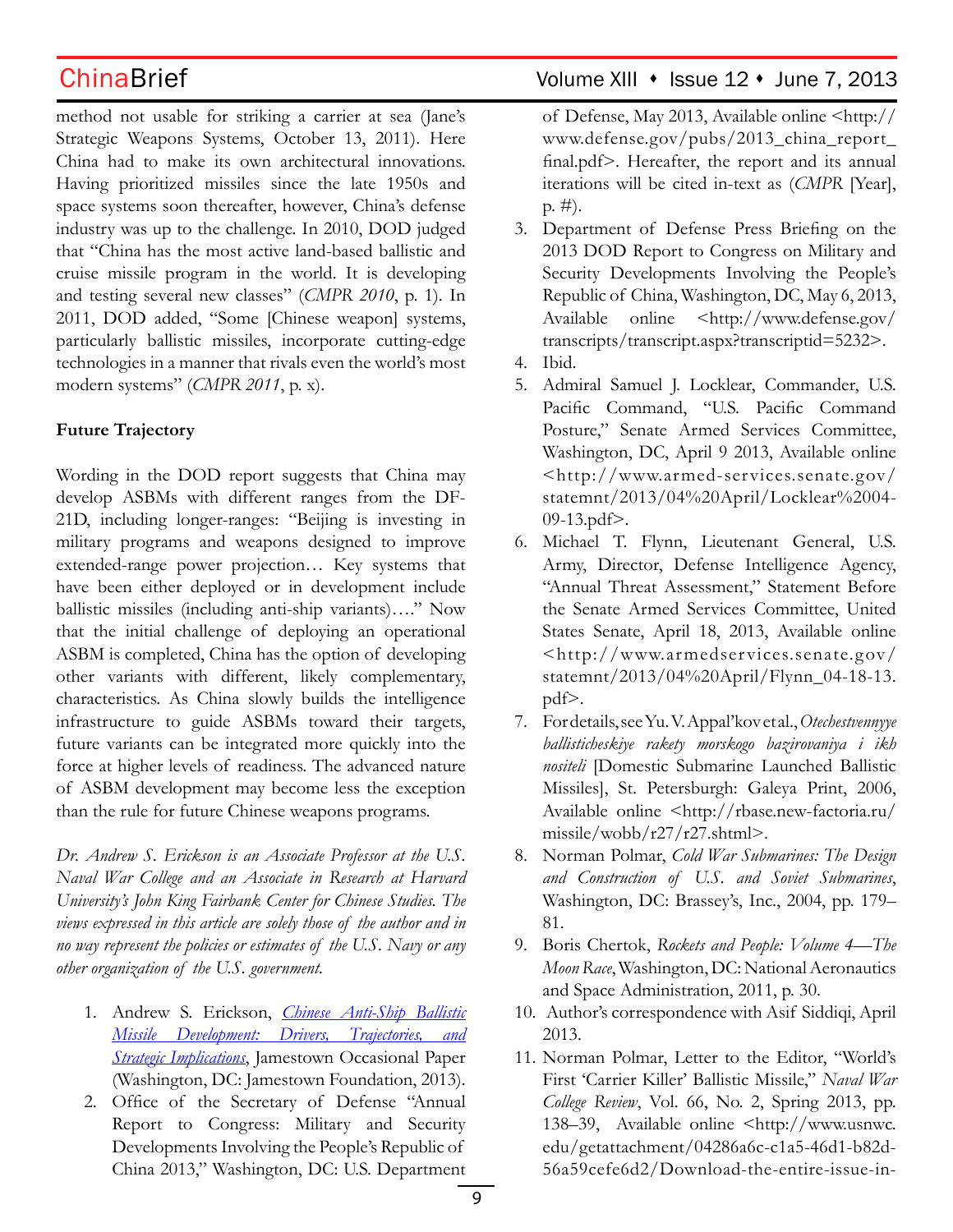method not usable for striking a carrier at sea (Jane's Strategic Weapons Systems, October 13, 2011). Here China had to make its own architectural innovations. Having prioritized missiles since the late 1950s and space systems soon thereafter, however, China's defense industry was up to the challenge. In 2010, DOD judged that "China has the most active land-based ballistic and cruise missile program in the world. It is developing and testing several new classes" (*CMPR 2010*, p. 1). In 2011, DOD added, "Some [Chinese weapon] systems, particularly ballistic missiles, incorporate cutting-edge technologies in a manner that rivals even the world's most modern systems" (*CMPR 2011*, p. x).

## **Future Trajectory**

Wording in the DOD report suggests that China may develop ASBMs with different ranges from the DF-21D, including longer-ranges: "Beijing is investing in military programs and weapons designed to improve extended-range power projection… Key systems that have been either deployed or in development include ballistic missiles (including anti-ship variants)…." Now that the initial challenge of deploying an operational ASBM is completed, China has the option of developing other variants with different, likely complementary, characteristics. As China slowly builds the intelligence infrastructure to guide ASBMs toward their targets, future variants can be integrated more quickly into the force at higher levels of readiness. The advanced nature of ASBM development may become less the exception than the rule for future Chinese weapons programs.

*Dr. Andrew S. Erickson is an Associate Professor at the U.S. Naval War College and an Associate in Research at Harvard University's John King Fairbank Center for Chinese Studies. The views expressed in this article are solely those of the author and in no way represent the policies or estimates of the U.S. Navy or any other organization of the U.S. government.*

- 1. Andrew S. Erickson, *Chinese Anti-Ship Ballistic Missile Development: Drivers, Trajectories, and <u>Strategic Implications</u>*, Jamestown Occasional Paper (Washington, DC: Jamestown Foundation, 2013).
- 2. Office of the Secretary of Defense "Annual Report to Congress: Military and Security Developments Involving the People's Republic of China 2013," Washington, DC: U.S. Department

## ChinaBrief Volume XIII • Issue 12 • June 7, 2013

of Defense, May 2013, Available online <http:// www.defense.gov/pubs/2013\_china\_report\_ final.pdf>. Hereafter, the report and its annual iterations will be cited in-text as (*CMPR* [Year], p. #).

- 3. Department of Defense Press Briefing on the 2013 DOD Report to Congress on Military and Security Developments Involving the People's Republic of China, Washington, DC, May 6, 2013, Available online <http://www.defense.gov/ transcripts/transcript.aspx?transcriptid=5232>.
- 4. Ibid.
- 5. Admiral Samuel J. Locklear, Commander, U.S. Pacific Command, "U.S. Pacific Command Posture," Senate Armed Services Committee, Washington, DC, April 9 2013, Available online <http://www.armed-services.senate.gov/ statemnt/2013/04%20April/Locklear%2004- 09-13.pdf>.
- 6. Michael T. Flynn, Lieutenant General, U.S. Army, Director, Defense Intelligence Agency, "Annual Threat Assessment," Statement Before the Senate Armed Services Committee, United States Senate, April 18, 2013, Available online <http://www.armedser vices.senate.gov/ statemnt/2013/04%20April/Flynn\_04-18-13. pdf>.
- 7. For details, see Yu. V. Appal'kov et al., *Otechestvennyye ballisticheskiye rakety morskogo bazirovaniya i ikh nositeli* [Domestic Submarine Launched Ballistic Missiles], St. Petersburgh: Galeya Print, 2006, Available online <http://rbase.new-factoria.ru/ missile/wobb/r27/r27.shtml>.
- 8. Norman Polmar, *Cold War Submarines: The Design and Construction of U.S. and Soviet Submarines*, Washington, DC: Brassey's, Inc., 2004, pp. 179– 81.
- 9. Boris Chertok, *Rockets and People: Volume 4—The Moon Race*, Washington, DC: National Aeronautics and Space Administration, 2011, p. 30.
- 10. Author's correspondence with Asif Siddiqi, April 2013.
- 11. Norman Polmar, Letter to the Editor, "World's First 'Carrier Killer' Ballistic Missile," *Naval War College Review*, Vol. 66, No. 2, Spring 2013, pp. 138–39, Available online <http://www.usnwc. edu/getattachment/04286a6c-c1a5-46d1-b82d-56a59cefe6d2/Download-the-entire-issue-in-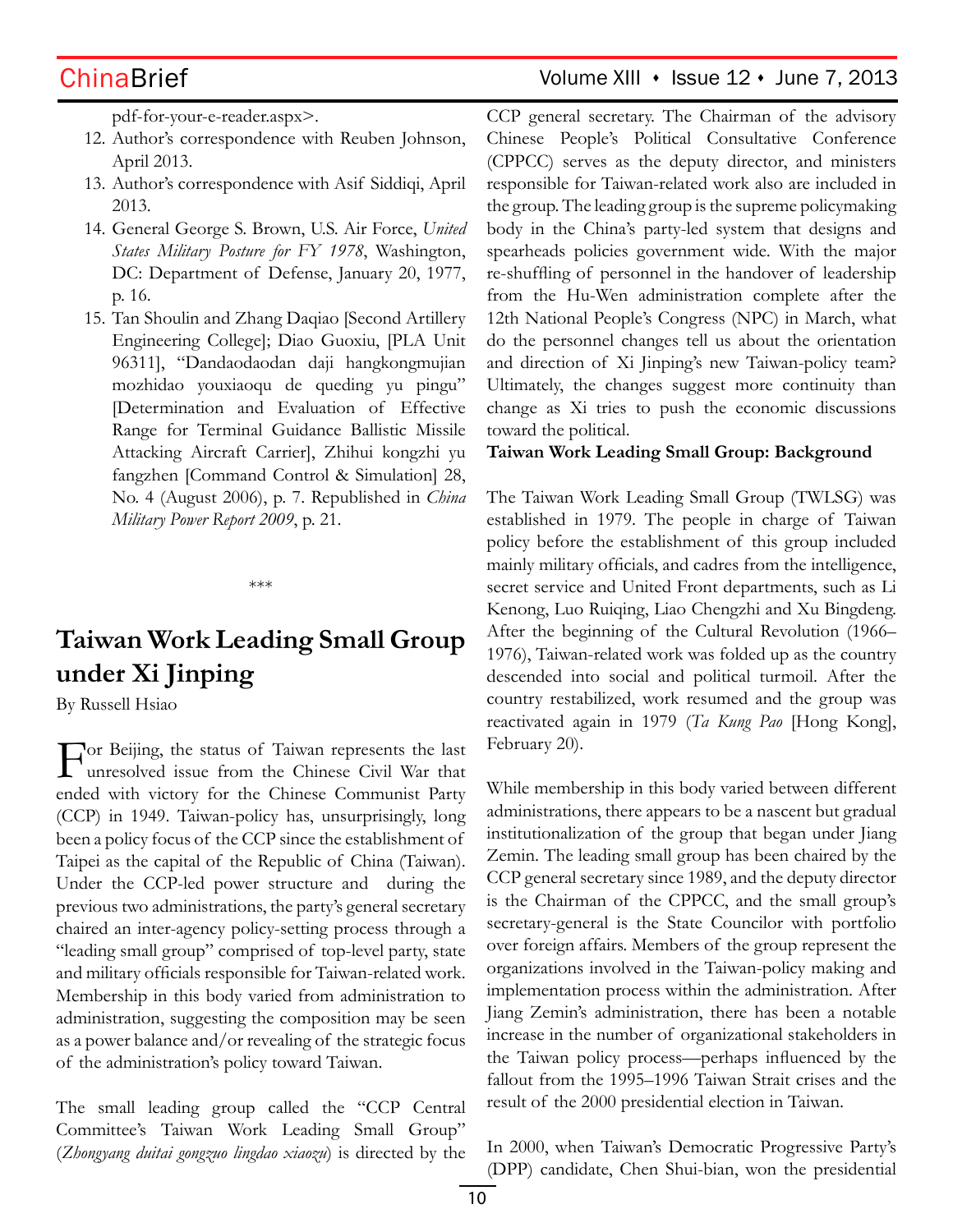pdf-for-your-e-reader.aspx>.

- 12. Author's correspondence with Reuben Johnson, April 2013.
- 13. Author's correspondence with Asif Siddiqi, April 2013.
- 14. General George S. Brown, U.S. Air Force, *United States Military Posture for FY 1978*, Washington, DC: Department of Defense, January 20, 1977, p. 16.
- 15. Tan Shoulin and Zhang Daqiao [Second Artillery Engineering College]; Diao Guoxiu, [PLA Unit 96311], "Dandaodaodan daji hangkongmujian mozhidao youxiaoqu de queding yu pingu" [Determination and Evaluation of Effective Range for Terminal Guidance Ballistic Missile Attacking Aircraft Carrier], Zhihui kongzhi yu fangzhen [Command Control & Simulation] 28, No. 4 (August 2006), p. 7. Republished in *China Military Power Report 2009*, p. 21.

\*\*\*

# **Taiwan Work Leading Small Group under Xi Jinping**

By Russell Hsiao

For Beijing, the status of Taiwan represents the last unresolved issue from the Chinese Civil War that ended with victory for the Chinese Communist Party (CCP) in 1949. Taiwan-policy has, unsurprisingly, long been a policy focus of the CCP since the establishment of Taipei as the capital of the Republic of China (Taiwan). Under the CCP-led power structure and during the previous two administrations, the party's general secretary chaired an inter-agency policy-setting process through a "leading small group" comprised of top-level party, state and military officials responsible for Taiwan-related work. Membership in this body varied from administration to administration, suggesting the composition may be seen as a power balance and/or revealing of the strategic focus of the administration's policy toward Taiwan.

The small leading group called the "CCP Central Committee's Taiwan Work Leading Small Group" (*Zhongyang duitai gongzuo lingdao xiaozu*) is directed by the CCP general secretary. The Chairman of the advisory Chinese People's Political Consultative Conference (CPPCC) serves as the deputy director, and ministers responsible for Taiwan-related work also are included in the group. The leading group is the supreme policymaking body in the China's party-led system that designs and spearheads policies government wide. With the major re-shuffling of personnel in the handover of leadership from the Hu-Wen administration complete after the 12th National People's Congress (NPC) in March, what do the personnel changes tell us about the orientation and direction of Xi Jinping's new Taiwan-policy team? Ultimately, the changes suggest more continuity than change as Xi tries to push the economic discussions toward the political.

## **Taiwan Work Leading Small Group: Background**

The Taiwan Work Leading Small Group (TWLSG) was established in 1979. The people in charge of Taiwan policy before the establishment of this group included mainly military officials, and cadres from the intelligence, secret service and United Front departments, such as Li Kenong, Luo Ruiqing, Liao Chengzhi and Xu Bingdeng. After the beginning of the Cultural Revolution (1966– 1976), Taiwan-related work was folded up as the country descended into social and political turmoil. After the country restabilized, work resumed and the group was reactivated again in 1979 (*Ta Kung Pao* [Hong Kong], February 20).

While membership in this body varied between different administrations, there appears to be a nascent but gradual institutionalization of the group that began under Jiang Zemin. The leading small group has been chaired by the CCP general secretary since 1989, and the deputy director is the Chairman of the CPPCC, and the small group's secretary-general is the State Councilor with portfolio over foreign affairs. Members of the group represent the organizations involved in the Taiwan-policy making and implementation process within the administration. After Jiang Zemin's administration, there has been a notable increase in the number of organizational stakeholders in the Taiwan policy process—perhaps influenced by the fallout from the 1995–1996 Taiwan Strait crises and the result of the 2000 presidential election in Taiwan.

In 2000, when Taiwan's Democratic Progressive Party's (DPP) candidate, Chen Shui-bian, won the presidential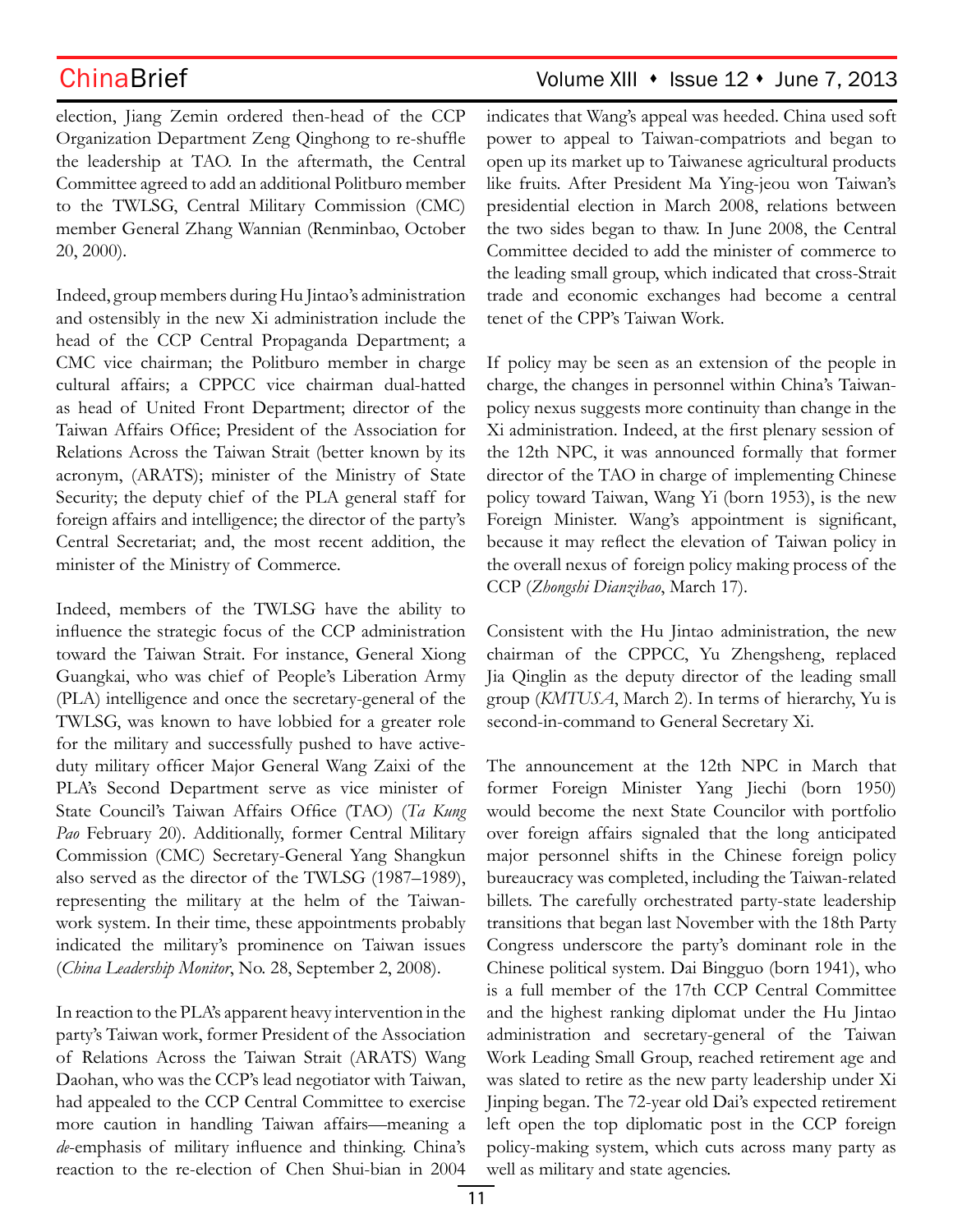election, Jiang Zemin ordered then-head of the CCP Organization Department Zeng Qinghong to re-shuffle the leadership at TAO. In the aftermath, the Central Committee agreed to add an additional Politburo member to the TWLSG, Central Military Commission (CMC) member General Zhang Wannian (Renminbao, October 20, 2000).

Indeed, group members during Hu Jintao's administration and ostensibly in the new Xi administration include the head of the CCP Central Propaganda Department; a CMC vice chairman; the Politburo member in charge cultural affairs; a CPPCC vice chairman dual-hatted as head of United Front Department; director of the Taiwan Affairs Office; President of the Association for Relations Across the Taiwan Strait (better known by its acronym, (ARATS); minister of the Ministry of State Security; the deputy chief of the PLA general staff for foreign affairs and intelligence; the director of the party's Central Secretariat; and, the most recent addition, the minister of the Ministry of Commerce.

Indeed, members of the TWLSG have the ability to influence the strategic focus of the CCP administration toward the Taiwan Strait. For instance, General Xiong Guangkai, who was chief of People's Liberation Army (PLA) intelligence and once the secretary-general of the TWLSG, was known to have lobbied for a greater role for the military and successfully pushed to have activeduty military officer Major General Wang Zaixi of the PLA's Second Department serve as vice minister of State Council's Taiwan Affairs Office (TAO) (*Ta Kung Pao* February 20). Additionally, former Central Military Commission (CMC) Secretary-General Yang Shangkun also served as the director of the TWLSG (1987–1989), representing the military at the helm of the Taiwanwork system. In their time, these appointments probably indicated the military's prominence on Taiwan issues (*China Leadership Monitor*, No. 28, September 2, 2008).

In reaction to the PLA's apparent heavy intervention in the party's Taiwan work, former President of the Association of Relations Across the Taiwan Strait (ARATS) Wang Daohan, who was the CCP's lead negotiator with Taiwan, had appealed to the CCP Central Committee to exercise more caution in handling Taiwan affairs—meaning a *de*-emphasis of military influence and thinking. China's reaction to the re-election of Chen Shui-bian in 2004

indicates that Wang's appeal was heeded. China used soft power to appeal to Taiwan-compatriots and began to open up its market up to Taiwanese agricultural products like fruits. After President Ma Ying-jeou won Taiwan's presidential election in March 2008, relations between the two sides began to thaw. In June 2008, the Central Committee decided to add the minister of commerce to the leading small group, which indicated that cross-Strait trade and economic exchanges had become a central tenet of the CPP's Taiwan Work.

If policy may be seen as an extension of the people in charge, the changes in personnel within China's Taiwanpolicy nexus suggests more continuity than change in the Xi administration. Indeed, at the first plenary session of the 12th NPC, it was announced formally that former director of the TAO in charge of implementing Chinese policy toward Taiwan, Wang Yi (born 1953), is the new Foreign Minister. Wang's appointment is significant, because it may reflect the elevation of Taiwan policy in the overall nexus of foreign policy making process of the CCP (*Zhongshi Dianzibao*, March 17).

Consistent with the Hu Jintao administration, the new chairman of the CPPCC, Yu Zhengsheng, replaced Jia Qinglin as the deputy director of the leading small group (*KMTUSA*, March 2). In terms of hierarchy, Yu is second-in-command to General Secretary Xi.

The announcement at the 12th NPC in March that former Foreign Minister Yang Jiechi (born 1950) would become the next State Councilor with portfolio over foreign affairs signaled that the long anticipated major personnel shifts in the Chinese foreign policy bureaucracy was completed, including the Taiwan-related billets. The carefully orchestrated party-state leadership transitions that began last November with the 18th Party Congress underscore the party's dominant role in the Chinese political system. Dai Bingguo (born 1941), who is a full member of the 17th CCP Central Committee and the highest ranking diplomat under the Hu Jintao administration and secretary-general of the Taiwan Work Leading Small Group, reached retirement age and was slated to retire as the new party leadership under Xi Jinping began. The 72-year old Dai's expected retirement left open the top diplomatic post in the CCP foreign policy-making system, which cuts across many party as well as military and state agencies.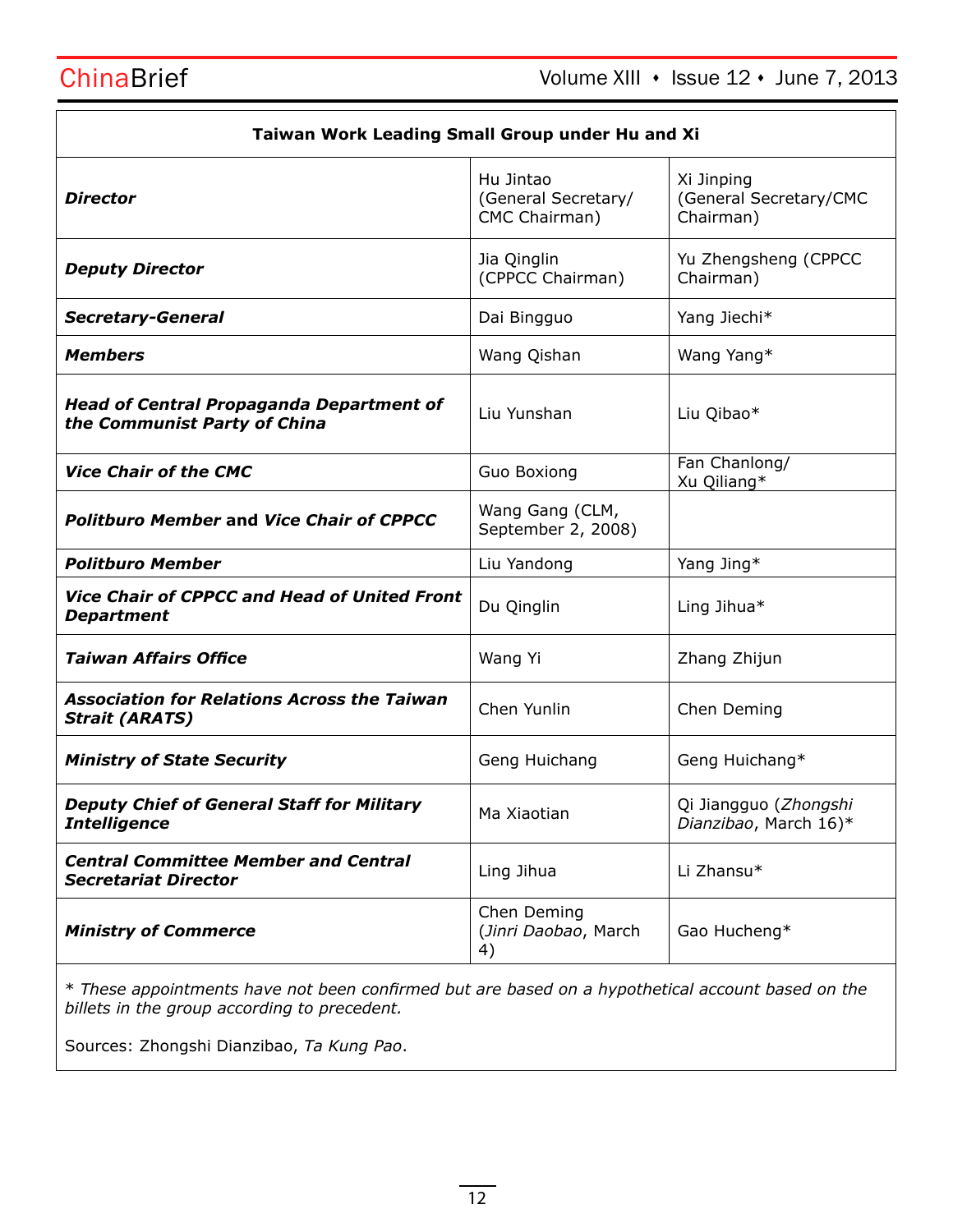| Taiwan Work Leading Small Group under Hu and Xi                                 |                                                   |                                                   |  |
|---------------------------------------------------------------------------------|---------------------------------------------------|---------------------------------------------------|--|
| <b>Director</b>                                                                 | Hu Jintao<br>(General Secretary/<br>CMC Chairman) | Xi Jinping<br>(General Secretary/CMC<br>Chairman) |  |
| <b>Deputy Director</b>                                                          | Jia Qinglin<br>(CPPCC Chairman)                   | Yu Zhengsheng (CPPCC<br>Chairman)                 |  |
| <b>Secretary-General</b>                                                        | Dai Bingguo                                       | Yang Jiechi*                                      |  |
| <b>Members</b>                                                                  | Wang Qishan                                       | Wang Yang*                                        |  |
| <b>Head of Central Propaganda Department of</b><br>the Communist Party of China | Liu Yunshan                                       | Liu Qibao*                                        |  |
| <b>Vice Chair of the CMC</b>                                                    | Guo Boxiong                                       | Fan Chanlong/<br>Xu Qiliang*                      |  |
| <b>Politburo Member and Vice Chair of CPPCC</b>                                 | Wang Gang (CLM,<br>September 2, 2008)             |                                                   |  |
| <b>Politburo Member</b>                                                         | Liu Yandong                                       | Yang Jing*                                        |  |
| Vice Chair of CPPCC and Head of United Front<br><b>Department</b>               | Du Qinglin                                        | Ling Jihua*                                       |  |
| <b>Taiwan Affairs Office</b>                                                    | Wang Yi                                           | Zhang Zhijun                                      |  |
| <b>Association for Relations Across the Taiwan</b><br><b>Strait (ARATS)</b>     | Chen Yunlin                                       | Chen Deming                                       |  |
| <b>Ministry of State Security</b>                                               | Geng Huichang                                     | Geng Huichang*                                    |  |
| <b>Deputy Chief of General Staff for Military</b><br><b>Intelligence</b>        | Ma Xiaotian                                       | Qi Jiangguo (Zhongshi<br>Dianzibao, March 16)*    |  |
| <b>Central Committee Member and Central</b><br><b>Secretariat Director</b>      | Ling Jihua                                        | Li Zhansu*                                        |  |
| <b>Ministry of Commerce</b>                                                     | Chen Deming<br>(Jinri Daobao, March<br>4)         | Gao Hucheng*                                      |  |

\* *These appointments have not been confirmed but are based on a hypothetical account based on the billets in the group according to precedent.*

Sources: Zhongshi Dianzibao, *Ta Kung Pao*.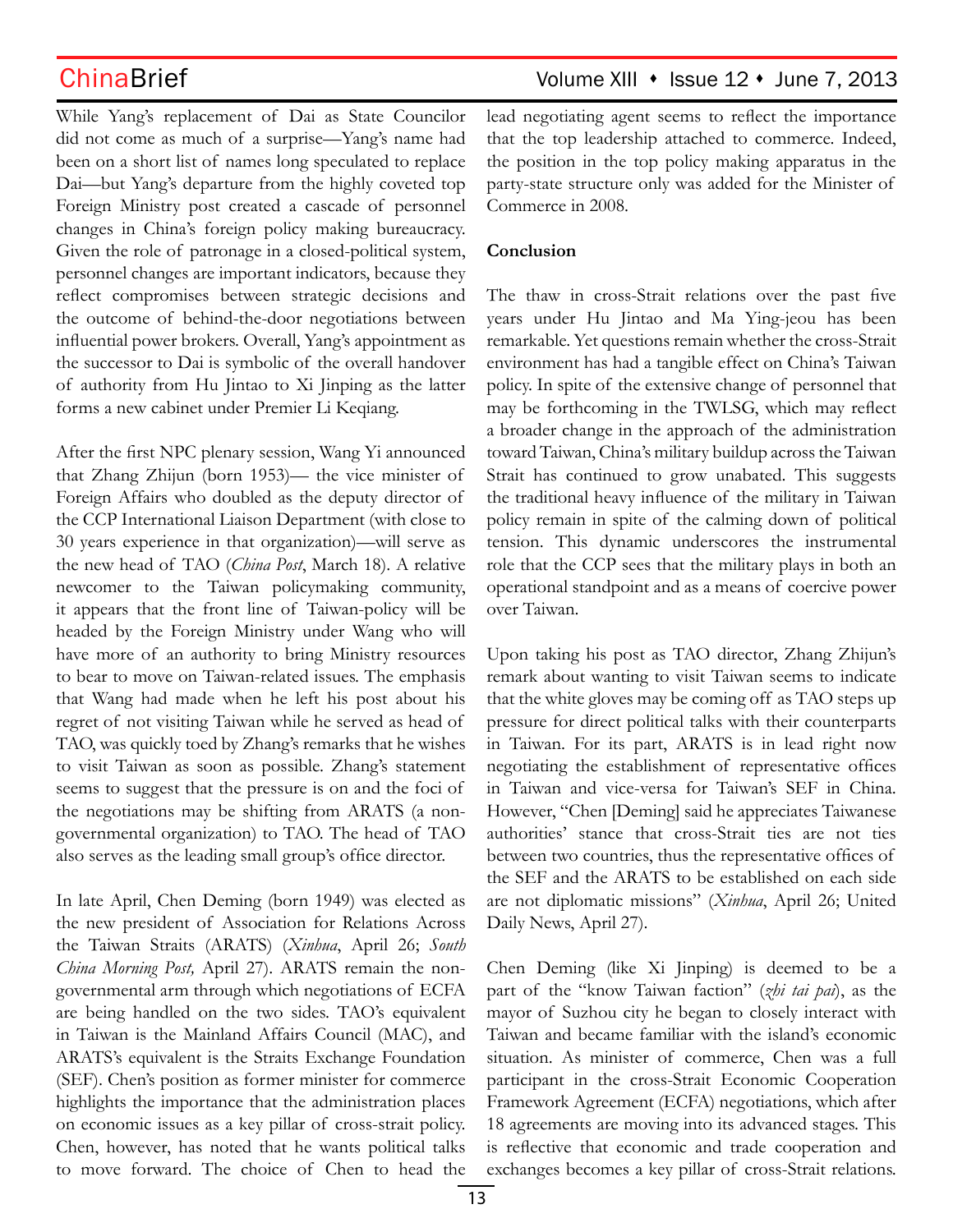While Yang's replacement of Dai as State Councilor did not come as much of a surprise—Yang's name had been on a short list of names long speculated to replace Dai—but Yang's departure from the highly coveted top Foreign Ministry post created a cascade of personnel changes in China's foreign policy making bureaucracy. Given the role of patronage in a closed-political system, personnel changes are important indicators, because they reflect compromises between strategic decisions and the outcome of behind-the-door negotiations between influential power brokers. Overall, Yang's appointment as the successor to Dai is symbolic of the overall handover of authority from Hu Jintao to Xi Jinping as the latter forms a new cabinet under Premier Li Keqiang.

After the first NPC plenary session, Wang Yi announced that Zhang Zhijun (born 1953)— the vice minister of Foreign Affairs who doubled as the deputy director of the CCP International Liaison Department (with close to 30 years experience in that organization)—will serve as the new head of TAO (*China Post*, March 18). A relative newcomer to the Taiwan policymaking community, it appears that the front line of Taiwan-policy will be headed by the Foreign Ministry under Wang who will have more of an authority to bring Ministry resources to bear to move on Taiwan-related issues. The emphasis that Wang had made when he left his post about his regret of not visiting Taiwan while he served as head of TAO, was quickly toed by Zhang's remarks that he wishes to visit Taiwan as soon as possible. Zhang's statement seems to suggest that the pressure is on and the foci of the negotiations may be shifting from ARATS (a nongovernmental organization) to TAO. The head of TAO also serves as the leading small group's office director.

In late April, Chen Deming (born 1949) was elected as the new president of Association for Relations Across the Taiwan Straits (ARATS) (*Xinhua*, April 26; *South China Morning Post,* April 27). ARATS remain the nongovernmental arm through which negotiations of ECFA are being handled on the two sides. TAO's equivalent in Taiwan is the Mainland Affairs Council (MAC), and ARATS's equivalent is the Straits Exchange Foundation (SEF). Chen's position as former minister for commerce highlights the importance that the administration places on economic issues as a key pillar of cross-strait policy. Chen, however, has noted that he wants political talks to move forward. The choice of Chen to head the lead negotiating agent seems to reflect the importance that the top leadership attached to commerce. Indeed, the position in the top policy making apparatus in the party-state structure only was added for the Minister of Commerce in 2008.

## **Conclusion**

The thaw in cross-Strait relations over the past five years under Hu Jintao and Ma Ying-jeou has been remarkable. Yet questions remain whether the cross-Strait environment has had a tangible effect on China's Taiwan policy. In spite of the extensive change of personnel that may be forthcoming in the TWLSG, which may reflect a broader change in the approach of the administration toward Taiwan, China's military buildup across the Taiwan Strait has continued to grow unabated. This suggests the traditional heavy influence of the military in Taiwan policy remain in spite of the calming down of political tension. This dynamic underscores the instrumental role that the CCP sees that the military plays in both an operational standpoint and as a means of coercive power over Taiwan.

Upon taking his post as TAO director, Zhang Zhijun's remark about wanting to visit Taiwan seems to indicate that the white gloves may be coming off as TAO steps up pressure for direct political talks with their counterparts in Taiwan. For its part, ARATS is in lead right now negotiating the establishment of representative offices in Taiwan and vice-versa for Taiwan's SEF in China. However, "Chen [Deming] said he appreciates Taiwanese authorities' stance that cross-Strait ties are not ties between two countries, thus the representative offices of the SEF and the ARATS to be established on each side are not diplomatic missions" (*Xinhua*, April 26; United Daily News, April 27).

Chen Deming (like Xi Jinping) is deemed to be a part of the "know Taiwan faction" (*zhi tai pai*), as the mayor of Suzhou city he began to closely interact with Taiwan and became familiar with the island's economic situation. As minister of commerce, Chen was a full participant in the cross-Strait Economic Cooperation Framework Agreement (ECFA) negotiations, which after 18 agreements are moving into its advanced stages. This is reflective that economic and trade cooperation and exchanges becomes a key pillar of cross-Strait relations.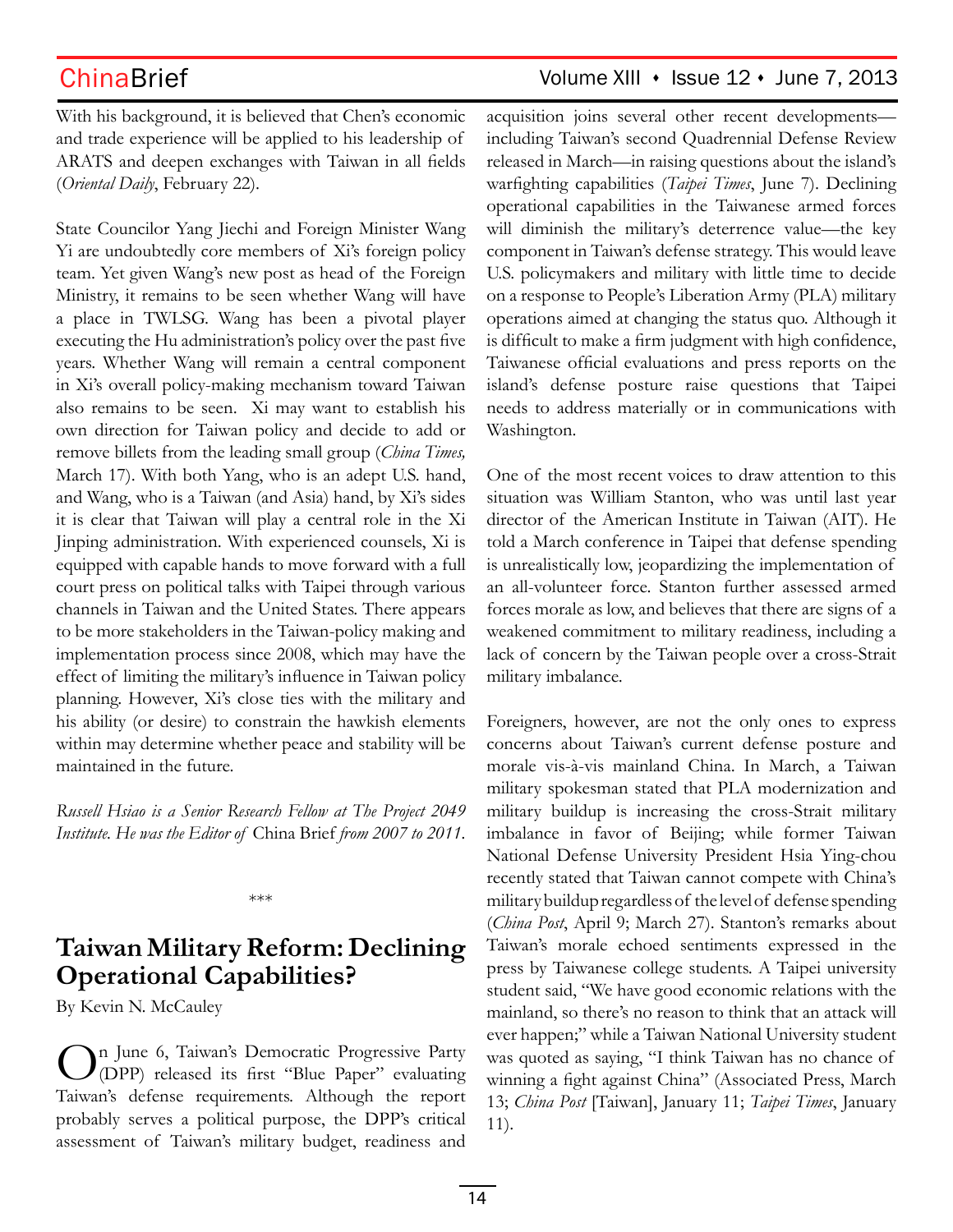With his background, it is believed that Chen's economic and trade experience will be applied to his leadership of ARATS and deepen exchanges with Taiwan in all fields (*Oriental Daily*, February 22).

State Councilor Yang Jiechi and Foreign Minister Wang Yi are undoubtedly core members of Xi's foreign policy team. Yet given Wang's new post as head of the Foreign Ministry, it remains to be seen whether Wang will have a place in TWLSG. Wang has been a pivotal player executing the Hu administration's policy over the past five years. Whether Wang will remain a central component in Xi's overall policy-making mechanism toward Taiwan also remains to be seen. Xi may want to establish his own direction for Taiwan policy and decide to add or remove billets from the leading small group (*China Times,*  March 17). With both Yang, who is an adept U.S. hand, and Wang, who is a Taiwan (and Asia) hand, by Xi's sides it is clear that Taiwan will play a central role in the Xi Jinping administration. With experienced counsels, Xi is equipped with capable hands to move forward with a full court press on political talks with Taipei through various channels in Taiwan and the United States. There appears to be more stakeholders in the Taiwan-policy making and implementation process since 2008, which may have the effect of limiting the military's influence in Taiwan policy planning. However, Xi's close ties with the military and his ability (or desire) to constrain the hawkish elements within may determine whether peace and stability will be maintained in the future.

*Russell Hsiao is a Senior Research Fellow at The Project 2049 Institute. He was the Editor of* China Brief *from 2007 to 2011.*

\*\*\*

## **Taiwan Military Reform: Declining Operational Capabilities?**

By Kevin N. McCauley

On June 6, Taiwan's Democratic Progressive Party (DPP) released its first "Blue Paper" evaluating Taiwan's defense requirements. Although the report probably serves a political purpose, the DPP's critical assessment of Taiwan's military budget, readiness and

acquisition joins several other recent developments including Taiwan's second Quadrennial Defense Review released in March—in raising questions about the island's warfighting capabilities (*Taipei Times*, June 7). Declining operational capabilities in the Taiwanese armed forces will diminish the military's deterrence value—the key component in Taiwan's defense strategy. This would leave U.S. policymakers and military with little time to decide on a response to People's Liberation Army (PLA) military operations aimed at changing the status quo. Although it is difficult to make a firm judgment with high confidence, Taiwanese official evaluations and press reports on the island's defense posture raise questions that Taipei needs to address materially or in communications with Washington.

One of the most recent voices to draw attention to this situation was William Stanton, who was until last year director of the American Institute in Taiwan (AIT). He told a March conference in Taipei that defense spending is unrealistically low, jeopardizing the implementation of an all-volunteer force. Stanton further assessed armed forces morale as low, and believes that there are signs of a weakened commitment to military readiness, including a lack of concern by the Taiwan people over a cross-Strait military imbalance.

Foreigners, however, are not the only ones to express concerns about Taiwan's current defense posture and morale vis-à-vis mainland China. In March, a Taiwan military spokesman stated that PLA modernization and military buildup is increasing the cross-Strait military imbalance in favor of Beijing; while former Taiwan National Defense University President Hsia Ying-chou recently stated that Taiwan cannot compete with China's military buildup regardless of the level of defense spending (*China Post*, April 9; March 27). Stanton's remarks about Taiwan's morale echoed sentiments expressed in the press by Taiwanese college students. A Taipei university student said, "We have good economic relations with the mainland, so there's no reason to think that an attack will ever happen;" while a Taiwan National University student was quoted as saying, "I think Taiwan has no chance of winning a fight against China" (Associated Press, March 13; *China Post* [Taiwan], January 11; *Taipei Times*, January 11).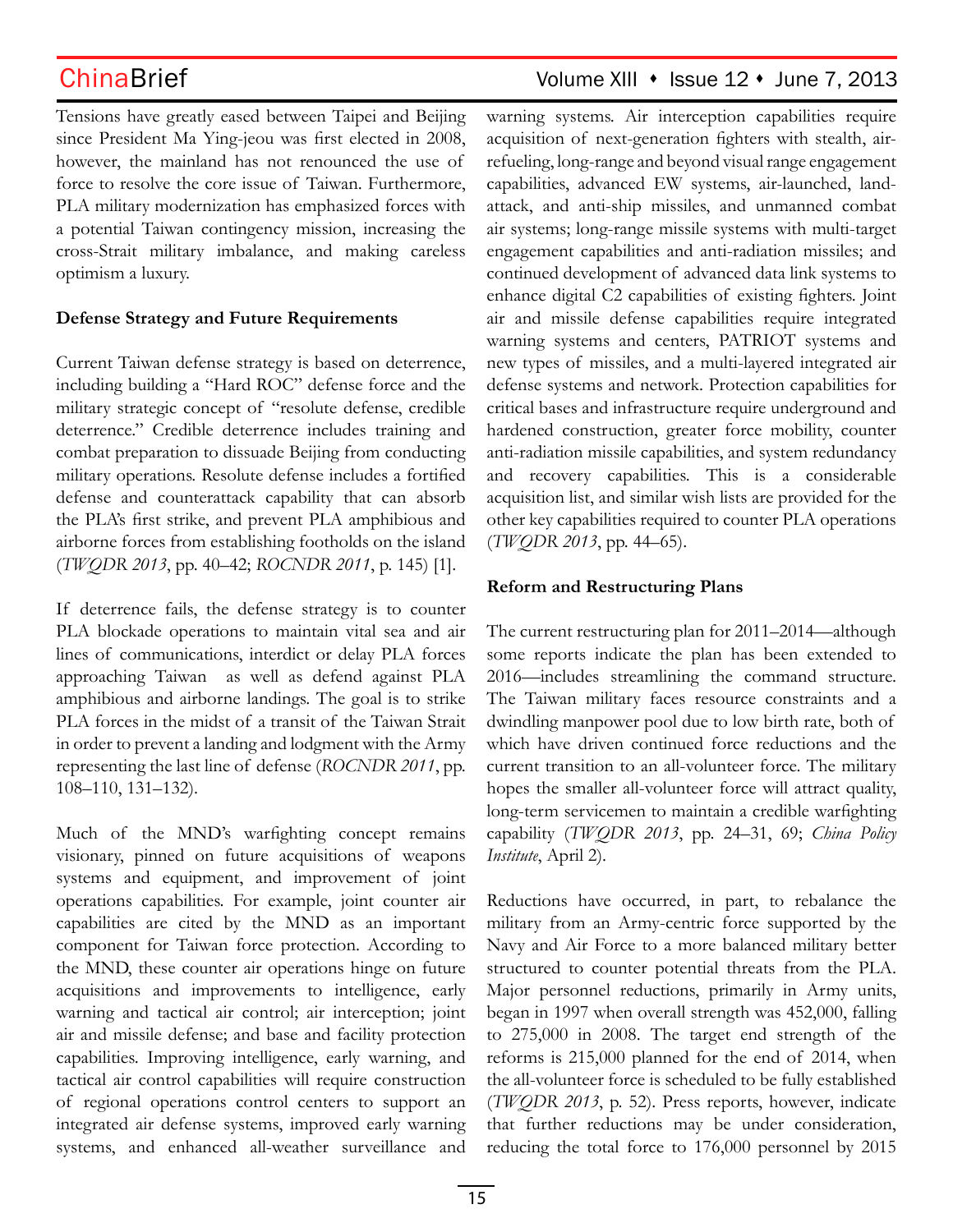Tensions have greatly eased between Taipei and Beijing since President Ma Ying-jeou was first elected in 2008, however, the mainland has not renounced the use of force to resolve the core issue of Taiwan. Furthermore, PLA military modernization has emphasized forces with a potential Taiwan contingency mission, increasing the cross-Strait military imbalance, and making careless optimism a luxury.

## **Defense Strategy and Future Requirements**

Current Taiwan defense strategy is based on deterrence, including building a "Hard ROC" defense force and the military strategic concept of "resolute defense, credible deterrence." Credible deterrence includes training and combat preparation to dissuade Beijing from conducting military operations. Resolute defense includes a fortified defense and counterattack capability that can absorb the PLA's first strike, and prevent PLA amphibious and airborne forces from establishing footholds on the island (*TWQDR 2013*, pp. 40–42; *ROCNDR 2011*, p. 145) [1].

If deterrence fails, the defense strategy is to counter PLA blockade operations to maintain vital sea and air lines of communications, interdict or delay PLA forces approaching Taiwan as well as defend against PLA amphibious and airborne landings. The goal is to strike PLA forces in the midst of a transit of the Taiwan Strait in order to prevent a landing and lodgment with the Army representing the last line of defense (*ROCNDR 2011*, pp. 108–110, 131–132).

Much of the MND's warfighting concept remains visionary, pinned on future acquisitions of weapons systems and equipment, and improvement of joint operations capabilities. For example, joint counter air capabilities are cited by the MND as an important component for Taiwan force protection. According to the MND, these counter air operations hinge on future acquisitions and improvements to intelligence, early warning and tactical air control; air interception; joint air and missile defense; and base and facility protection capabilities. Improving intelligence, early warning, and tactical air control capabilities will require construction of regional operations control centers to support an integrated air defense systems, improved early warning systems, and enhanced all-weather surveillance and

## ChinaBrief Volume XIII • Issue 12 • June 7, 2013

warning systems. Air interception capabilities require acquisition of next-generation fighters with stealth, airrefueling, long-range and beyond visual range engagement capabilities, advanced EW systems, air-launched, landattack, and anti-ship missiles, and unmanned combat air systems; long-range missile systems with multi-target engagement capabilities and anti-radiation missiles; and continued development of advanced data link systems to enhance digital C2 capabilities of existing fighters. Joint air and missile defense capabilities require integrated warning systems and centers, PATRIOT systems and new types of missiles, and a multi-layered integrated air defense systems and network. Protection capabilities for critical bases and infrastructure require underground and hardened construction, greater force mobility, counter anti-radiation missile capabilities, and system redundancy and recovery capabilities. This is a considerable acquisition list, and similar wish lists are provided for the other key capabilities required to counter PLA operations (*TWQDR 2013*, pp. 44–65).

## **Reform and Restructuring Plans**

The current restructuring plan for 2011–2014—although some reports indicate the plan has been extended to 2016—includes streamlining the command structure. The Taiwan military faces resource constraints and a dwindling manpower pool due to low birth rate, both of which have driven continued force reductions and the current transition to an all-volunteer force. The military hopes the smaller all-volunteer force will attract quality, long-term servicemen to maintain a credible warfighting capability (*TWQDR 2013*, pp. 24–31, 69; *China Policy Institute*, April 2).

Reductions have occurred, in part, to rebalance the military from an Army-centric force supported by the Navy and Air Force to a more balanced military better structured to counter potential threats from the PLA. Major personnel reductions, primarily in Army units, began in 1997 when overall strength was 452,000, falling to 275,000 in 2008. The target end strength of the reforms is 215,000 planned for the end of 2014, when the all-volunteer force is scheduled to be fully established (*TWQDR 2013*, p. 52). Press reports, however, indicate that further reductions may be under consideration, reducing the total force to 176,000 personnel by 2015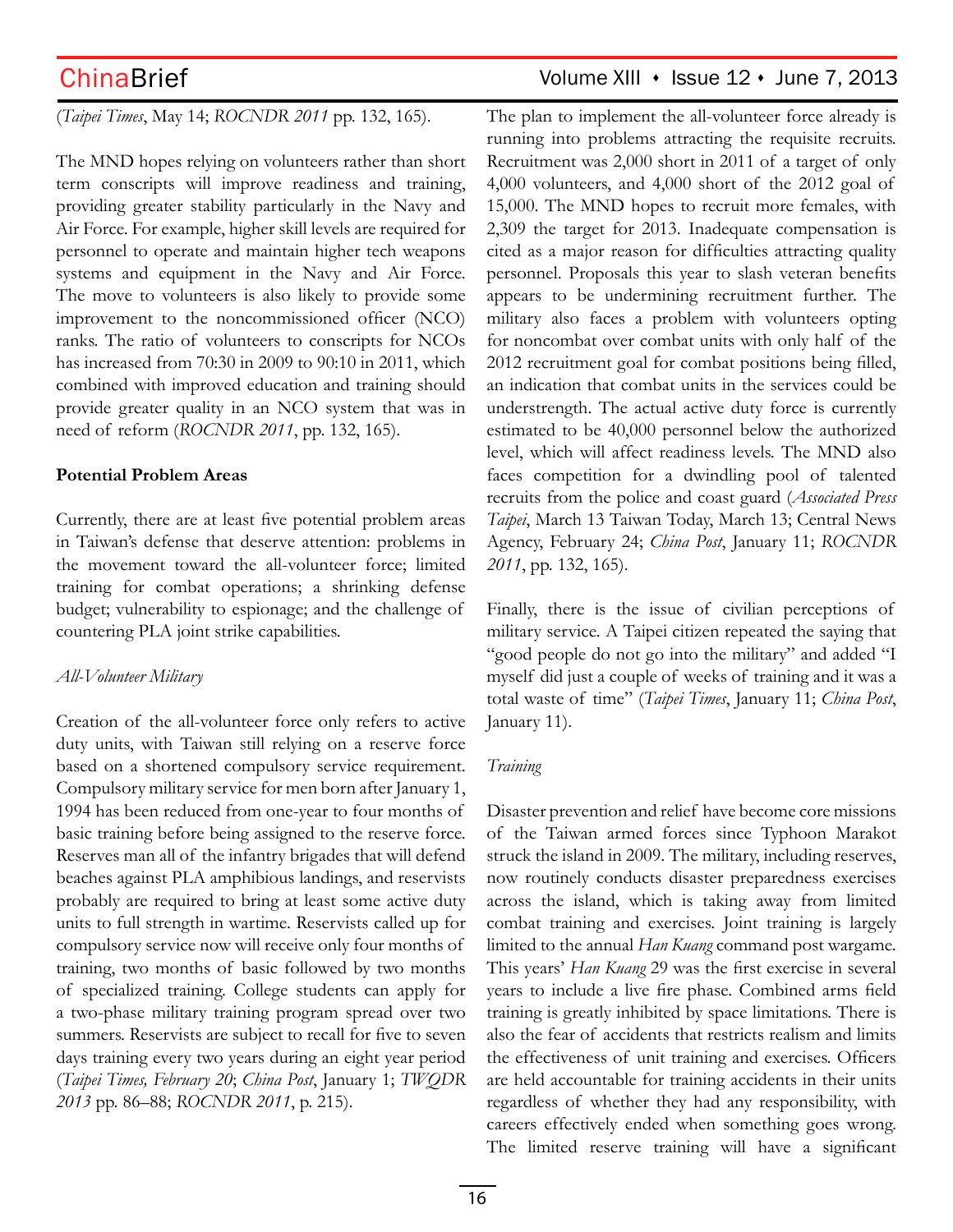## (*Taipei Times*, May 14; *ROCNDR 2011* pp. 132, 165).

The MND hopes relying on volunteers rather than short term conscripts will improve readiness and training, providing greater stability particularly in the Navy and Air Force. For example, higher skill levels are required for personnel to operate and maintain higher tech weapons systems and equipment in the Navy and Air Force. The move to volunteers is also likely to provide some improvement to the noncommissioned officer (NCO) ranks. The ratio of volunteers to conscripts for NCOs has increased from 70:30 in 2009 to 90:10 in 2011, which combined with improved education and training should provide greater quality in an NCO system that was in need of reform (*ROCNDR 2011*, pp. 132, 165).

### **Potential Problem Areas**

Currently, there are at least five potential problem areas in Taiwan's defense that deserve attention: problems in the movement toward the all-volunteer force; limited training for combat operations; a shrinking defense budget; vulnerability to espionage; and the challenge of countering PLA joint strike capabilities.

### *All-Volunteer Military*

Creation of the all-volunteer force only refers to active duty units, with Taiwan still relying on a reserve force based on a shortened compulsory service requirement. Compulsory military service for men born after January 1, 1994 has been reduced from one-year to four months of basic training before being assigned to the reserve force. Reserves man all of the infantry brigades that will defend beaches against PLA amphibious landings, and reservists probably are required to bring at least some active duty units to full strength in wartime. Reservists called up for compulsory service now will receive only four months of training, two months of basic followed by two months of specialized training. College students can apply for a two-phase military training program spread over two summers. Reservists are subject to recall for five to seven days training every two years during an eight year period (*Taipei Times, February 20*; *China Post*, January 1; *TWQDR 2013* pp. 86–88; *ROCNDR 2011*, p. 215).

## ChinaBrief Volume XIII · Issue 12 · June 7, 2013

The plan to implement the all-volunteer force already is running into problems attracting the requisite recruits. Recruitment was 2,000 short in 2011 of a target of only 4,000 volunteers, and 4,000 short of the 2012 goal of 15,000. The MND hopes to recruit more females, with 2,309 the target for 2013. Inadequate compensation is cited as a major reason for difficulties attracting quality personnel. Proposals this year to slash veteran benefits appears to be undermining recruitment further. The military also faces a problem with volunteers opting for noncombat over combat units with only half of the 2012 recruitment goal for combat positions being filled, an indication that combat units in the services could be understrength. The actual active duty force is currently estimated to be 40,000 personnel below the authorized level, which will affect readiness levels. The MND also faces competition for a dwindling pool of talented recruits from the police and coast guard (*Associated Press Taipei*, March 13 Taiwan Today, March 13; Central News Agency, February 24; *China Post*, January 11; *ROCNDR 2011*, pp. 132, 165).

Finally, there is the issue of civilian perceptions of military service. A Taipei citizen repeated the saying that "good people do not go into the military" and added "I myself did just a couple of weeks of training and it was a total waste of time" (*Taipei Times*, January 11; *China Post*, January 11).

## *Training*

Disaster prevention and relief have become core missions of the Taiwan armed forces since Typhoon Marakot struck the island in 2009. The military, including reserves, now routinely conducts disaster preparedness exercises across the island, which is taking away from limited combat training and exercises. Joint training is largely limited to the annual *Han Kuang* command post wargame. This years' *Han Kuang* 29 was the first exercise in several years to include a live fire phase. Combined arms field training is greatly inhibited by space limitations. There is also the fear of accidents that restricts realism and limits the effectiveness of unit training and exercises. Officers are held accountable for training accidents in their units regardless of whether they had any responsibility, with careers effectively ended when something goes wrong. The limited reserve training will have a significant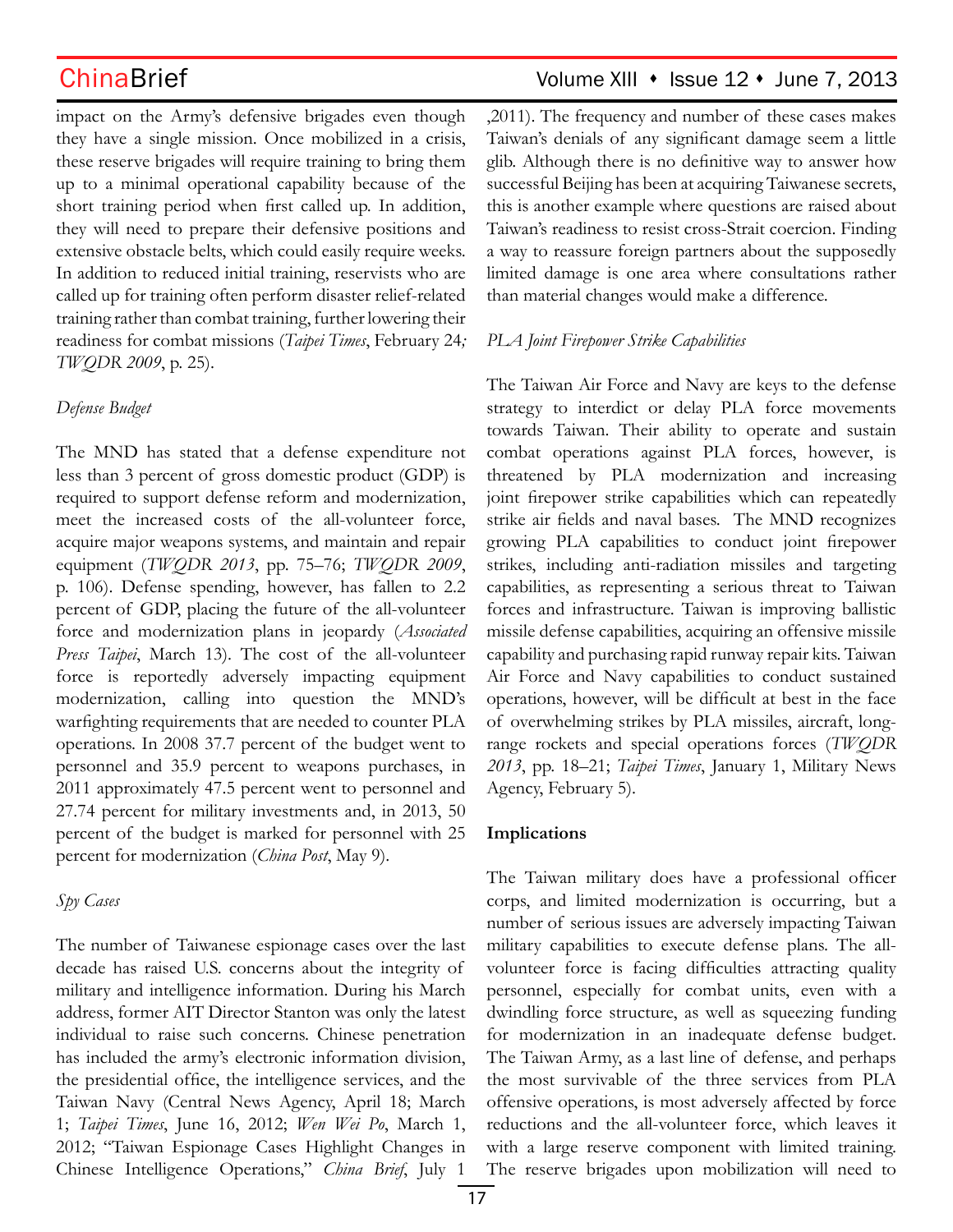impact on the Army's defensive brigades even though they have a single mission. Once mobilized in a crisis, these reserve brigades will require training to bring them up to a minimal operational capability because of the short training period when first called up. In addition, they will need to prepare their defensive positions and extensive obstacle belts, which could easily require weeks. In addition to reduced initial training, reservists who are called up for training often perform disaster relief-related training rather than combat training, further lowering their readiness for combat missions (*Taipei Times*, February 24*; TWQDR 2009*, p. 25).

### *Defense Budget*

The MND has stated that a defense expenditure not less than 3 percent of gross domestic product (GDP) is required to support defense reform and modernization, meet the increased costs of the all-volunteer force, acquire major weapons systems, and maintain and repair equipment (*TWQDR 2013*, pp. 75–76; *TWQDR 2009*, p. 106). Defense spending, however, has fallen to 2.2 percent of GDP, placing the future of the all-volunteer force and modernization plans in jeopardy (*Associated Press Taipei*, March 13). The cost of the all-volunteer force is reportedly adversely impacting equipment modernization, calling into question the MND's warfighting requirements that are needed to counter PLA operations. In 2008 37.7 percent of the budget went to personnel and 35.9 percent to weapons purchases, in 2011 approximately 47.5 percent went to personnel and 27.74 percent for military investments and, in 2013, 50 percent of the budget is marked for personnel with 25 percent for modernization (*China Post*, May 9).

### *Spy Cases*

The number of Taiwanese espionage cases over the last decade has raised U.S. concerns about the integrity of military and intelligence information. During his March address, former AIT Director Stanton was only the latest individual to raise such concerns. Chinese penetration has included the army's electronic information division, the presidential office, the intelligence services, and the Taiwan Navy (Central News Agency, April 18; March 1; *Taipei Times*, June 16, 2012; *Wen Wei Po*, March 1, 2012; "Taiwan Espionage Cases Highlight Changes in Chinese Intelligence Operations," *China Brief*, July 1

## ChinaBrief Volume XIII • Issue 12 • June 7, 2013

,2011). The frequency and number of these cases makes Taiwan's denials of any significant damage seem a little glib. Although there is no definitive way to answer how successful Beijing has been at acquiring Taiwanese secrets, this is another example where questions are raised about Taiwan's readiness to resist cross-Strait coercion. Finding a way to reassure foreign partners about the supposedly limited damage is one area where consultations rather than material changes would make a difference.

### *PLA Joint Firepower Strike Capabilities*

The Taiwan Air Force and Navy are keys to the defense strategy to interdict or delay PLA force movements towards Taiwan. Their ability to operate and sustain combat operations against PLA forces, however, is threatened by PLA modernization and increasing joint firepower strike capabilities which can repeatedly strike air fields and naval bases. The MND recognizes growing PLA capabilities to conduct joint firepower strikes, including anti-radiation missiles and targeting capabilities, as representing a serious threat to Taiwan forces and infrastructure. Taiwan is improving ballistic missile defense capabilities, acquiring an offensive missile capability and purchasing rapid runway repair kits. Taiwan Air Force and Navy capabilities to conduct sustained operations, however, will be difficult at best in the face of overwhelming strikes by PLA missiles, aircraft, longrange rockets and special operations forces (*TWQDR 2013*, pp. 18–21; *Taipei Times*, January 1, Military News Agency, February 5).

### **Implications**

The Taiwan military does have a professional officer corps, and limited modernization is occurring, but a number of serious issues are adversely impacting Taiwan military capabilities to execute defense plans. The allvolunteer force is facing difficulties attracting quality personnel, especially for combat units, even with a dwindling force structure, as well as squeezing funding for modernization in an inadequate defense budget. The Taiwan Army, as a last line of defense, and perhaps the most survivable of the three services from PLA offensive operations, is most adversely affected by force reductions and the all-volunteer force, which leaves it with a large reserve component with limited training. The reserve brigades upon mobilization will need to